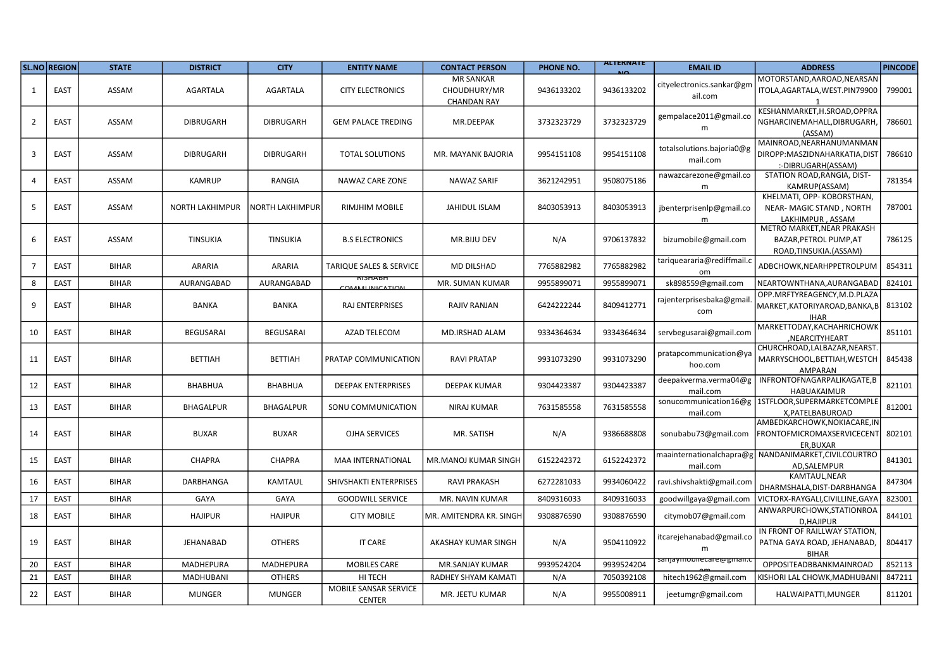|    | SL.NO REGION | <b>STATE</b> | <b>DISTRICT</b>        | <b>CITY</b>      | <b>ENTITY NAME</b>                     | <b>CONTACT PERSON</b>                                  | PHONE NO.  | <b>ALIERIVATE</b> | <b>EMAIL ID</b>                       | <b>ADDRESS</b>                                                                  | <b>PINCODE</b> |
|----|--------------|--------------|------------------------|------------------|----------------------------------------|--------------------------------------------------------|------------|-------------------|---------------------------------------|---------------------------------------------------------------------------------|----------------|
| 1  | EAST         | ASSAM        | <b>AGARTALA</b>        | <b>AGARTALA</b>  | <b>CITY ELECTRONICS</b>                | <b>MR SANKAR</b><br>CHOUDHURY/MR<br><b>CHANDAN RAY</b> | 9436133202 | 9436133202        | cityelectronics.sankar@gm<br>ail.com  | MOTORSTAND, AAROAD, NEARSAN<br>ITOLA, AGARTALA, WEST. PIN 79900                 | 799001         |
| 2  | EAST         | ASSAM        | <b>DIBRUGARH</b>       | <b>DIBRUGARH</b> | <b>GEM PALACE TREDING</b>              | MR.DEEPAK                                              | 3732323729 | 3732323729        | gempalace2011@gmail.co<br>m           | KESHANMARKET, H.SROAD, OPPRA<br>NGHARCINEMAHALL, DIBRUGARH,<br>(ASSAM)          | 786601         |
| 3  | EAST         | ASSAM        | <b>DIBRUGARH</b>       | <b>DIBRUGARH</b> | <b>TOTAL SOLUTIONS</b>                 | MR. MAYANK BAJORIA                                     | 9954151108 | 9954151108        | totalsolutions.bajoria0@g<br>mail.com | MAINROAD, NEARHANUMANMAN<br>DIROPP:MASZIDNAHARKATIA,DIST<br>:-DIBRUGARH(ASSAM)  | 786610         |
|    | EAST         | ASSAM        | <b>KAMRUP</b>          | RANGIA           | NAWAZ CARE ZONE                        | NAWAZ SARIF                                            | 3621242951 | 9508075186        | nawazcarezone@gmail.co<br>m           | STATION ROAD, RANGIA, DIST-<br>KAMRUP(ASSAM)                                    | 781354         |
| 5  | EAST         | ASSAM        | <b>NORTH LAKHIMPUR</b> | NORTH LAKHIMPUR  | <b>RIMJHIM MOBILE</b>                  | <b>JAHIDUL ISLAM</b>                                   | 8403053913 | 8403053913        | jbenterprisenlp@gmail.co<br>m         | KHELMATI, OPP- KOBORSTHAN,<br>NEAR-MAGIC STAND, NORTH<br>LAKHIMPUR, ASSAM       | 787001         |
| 6  | EAST         | ASSAM        | TINSUKIA               | <b>TINSUKIA</b>  | <b>B.S ELECTRONICS</b>                 | MR.BIJU DEV                                            | N/A        | 9706137832        | bizumobile@gmail.com                  | METRO MARKET, NEAR PRAKASH<br>BAZAR, PETROL PUMP, AT<br>ROAD, TINSUKIA. (ASSAM) | 786125         |
|    | EAST         | <b>BIHAR</b> | ARARIA                 | ARARIA           | <b>TARIQUE SALES &amp; SERVICE</b>     | <b>MD DILSHAD</b>                                      | 7765882982 | 7765882982        | tariqueararia@rediffmail.c            | ADBCHOWK, NEARHPPETROLPUM                                                       | 854311         |
| 8  | EAST         | <b>BIHAR</b> | AURANGABAD             | AURANGABAD       | талтан<br>COMMUTINIL CATION            | MR. SUMAN KUMAR                                        | 9955899071 | 9955899071        | sk898559@gmail.com                    | NEARTOWNTHANA, AURANGABAD                                                       | 824101         |
| 9  | EAST         | <b>BIHAR</b> | <b>BANKA</b>           | <b>BANKA</b>     | <b>RAJ ENTERPRISES</b>                 | <b>RAJIV RANJAN</b>                                    | 6424222244 | 8409412771        | rajenterprisesbaka@gmail<br>com       | OPP.MRFTYREAGENCY,M.D.PLAZA<br>MARKET, KATORIYAROAD, BANKA, B<br><b>IHAR</b>    | 813102         |
| 10 | EAST         | <b>BIHAR</b> | <b>BEGUSARAI</b>       | <b>BEGUSARAI</b> | <b>AZAD TELECOM</b>                    | MD.IRSHAD ALAM                                         | 9334364634 | 9334364634        | servbegusarai@gmail.com               | MARKETTODAY, KACHAHRICHOWK<br>,NEARCITYHEART                                    | 851101         |
| 11 | EAST         | <b>BIHAR</b> | <b>BETTIAH</b>         | BETTIAH          | PRATAP COMMUNICATION                   | <b>RAVI PRATAP</b>                                     | 9931073290 | 9931073290        | pratapcommunication@ya<br>hoo.com     | CHURCHROAD, LALBAZAR, NEARST<br>MARRYSCHOOL, BETTIAH, WESTCH<br><b>AMPARAN</b>  | 845438         |
| 12 | EAST         | <b>BIHAR</b> | <b>BHABHUA</b>         | BHABHUA          | <b>DEEPAK ENTERPRISES</b>              | DEEPAK KUMAR                                           | 9304423387 | 9304423387        | deepakverma.verma04@g<br>mail.com     | INFRONTOFNAGARPALIKAGATE,B<br>HABUAKAIMUR                                       | 821101         |
| 13 | EAST         | <b>BIHAR</b> | <b>BHAGALPUR</b>       | <b>BHAGALPUR</b> | SONU COMMUNICATION                     | <b>NIRAJ KUMAR</b>                                     | 7631585558 | 7631585558        | sonucommunication16@g<br>mail.com     | 1STFLOOR, SUPERMARKETCOMPLI<br>X.PATELBABUROAD                                  | 812001         |
| 14 | EAST         | <b>BIHAR</b> | <b>BUXAR</b>           | <b>BUXAR</b>     | OJHA SERVICES                          | MR. SATISH                                             | N/A        | 9386688808        | sonubabu73@gmail.com                  | AMBEDKARCHOWK, NOKIACARE, IN<br>FRONTOFMICROMAXSERVICECENT<br>ER, BUXAR         | 802101         |
| 15 | EAST         | <b>BIHAR</b> | <b>CHAPRA</b>          | CHAPRA           | <b>MAA INTERNATIONAL</b>               | MR.MANOJ KUMAR SINGH                                   | 6152242372 | 6152242372        | maainternationalchapra@g<br>mail.com  | NANDANIMARKET, CIVILCOURTRC<br>AD, SALEMPUR                                     | 841301         |
| 16 | EAST         | <b>BIHAR</b> | DARBHANGA              | KAMTAUL          | SHIVSHAKTI ENTERPRISES                 | <b>RAVI PRAKASH</b>                                    | 6272281033 | 9934060422        | ravi.shivshakti@gmail.com             | KAMTAUL, NEAR<br>DHARMSHALA, DIST-DARBHANGA                                     | 847304         |
| 17 | EAST         | <b>BIHAR</b> | GAYA                   | GAYA             | <b>GOODWILL SERVICE</b>                | MR. NAVIN KUMAR                                        | 8409316033 | 8409316033        | goodwillgaya@gmail.com                | VICTORX-RAYGALI,CIVILLINE,GAY.                                                  | 823001         |
| 18 | EAST         | <b>BIHAR</b> | <b>HAJIPUR</b>         | <b>HAJIPUR</b>   | <b>CITY MOBILE</b>                     | MR. AMITENDRA KR. SINGH                                | 9308876590 | 9308876590        | citymob07@gmail.com                   | ANWARPURCHOWK, STATIONROA<br>D, HAJIPUR                                         | 844101         |
| 19 | EAST         | <b>BIHAR</b> | JEHANABAD              | <b>OTHERS</b>    | <b>IT CARE</b>                         | AKASHAY KUMAR SINGH                                    | N/A        | 9504110922        | itcarejehanabad@gmail.co              | IN FRONT OF RAILLWAY STATION,<br>PATNA GAYA ROAD, JEHANABAD,<br><b>BIHAR</b>    | 804417         |
| 20 | EAST         | <b>BIHAR</b> | <b>MADHEPURA</b>       | <b>MADHEPURA</b> | <b>MOBILES CARE</b>                    | MR.SANJAY KUMAR                                        | 9939524204 | 9939524204        | s <del>anjaymoonecare@gman.</del> i   | OPPOSITEADBBANKMAINROAD                                                         | 852113         |
| 21 | EAST         | <b>BIHAR</b> | <b>MADHUBANI</b>       | <b>OTHERS</b>    | HI TECH                                | RADHEY SHYAM KAMATI                                    | N/A        | 7050392108        | hitech1962@gmail.com                  | KISHORI LAL CHOWK, MADHUBAN                                                     | 847211         |
| 22 | EAST         | <b>BIHAR</b> | MUNGER                 | <b>MUNGER</b>    | MOBILE SANSAR SERVICE<br><b>CENTER</b> | MR. JEETU KUMAR                                        | N/A        | 9955008911        | jeetumgr@gmail.com                    | HALWAIPATTI, MUNGER                                                             | 811201         |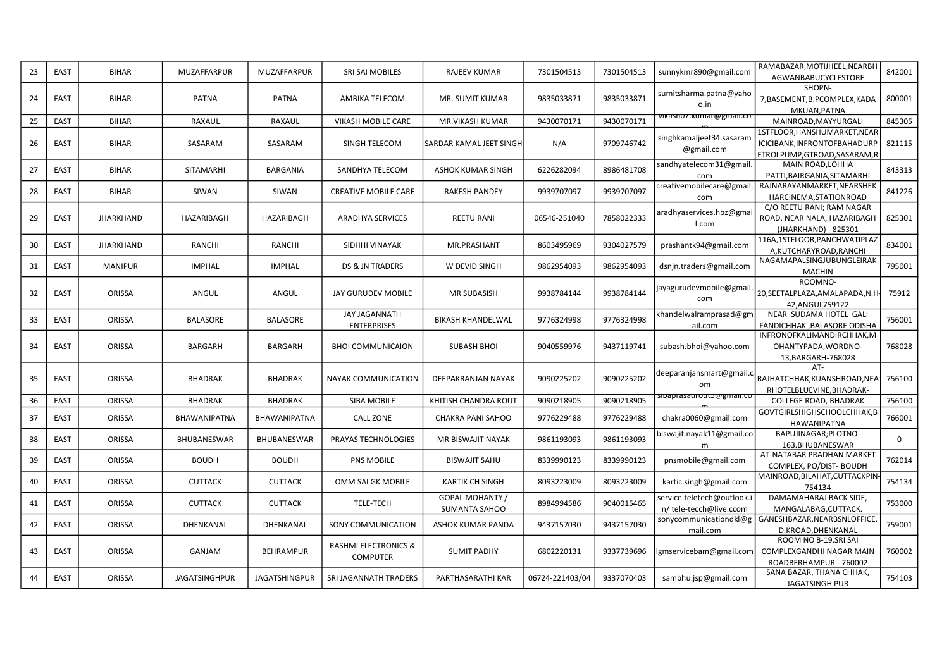| 23 | EAST | <b>BIHAR</b>     | MUZAFFARPUR          | <b>MUZAFFARPUR</b>  | SRI SAI MOBILES                                    | <b>RAJEEV KUMAR</b>              | 7301504513      | 7301504513 | sunnykmr890@gmail.com                                 | RAMABAZAR, MOTIJHEEL, NEARBH<br>AGWANBABUCYCLESTORE                                           | 842001 |
|----|------|------------------|----------------------|---------------------|----------------------------------------------------|----------------------------------|-----------------|------------|-------------------------------------------------------|-----------------------------------------------------------------------------------------------|--------|
| 24 | EAST | <b>BIHAR</b>     | <b>PATNA</b>         | <b>PATNA</b>        | AMBIKA TELECOM                                     | <b>MR. SUMIT KUMAR</b>           | 9835033871      | 9835033871 | sumitsharma.patna@yaho<br>o.in                        | SHOPN-<br>7, BASEMENT, B. PCOMPLEX, KADA<br>MKUAN, PATNA                                      | 800001 |
| 25 | EAST | <b>BIHAR</b>     | RAXAUL               | RAXAUL              | VIKASH MOBILE CARE                                 | <b>MR.VIKASH KUMAR</b>           | 9430070171      | 9430070171 | vikasno7.kumar@gmaii.co                               | MAINROAD, MAYYURGALI                                                                          | 845305 |
| 26 | EAST | <b>BIHAR</b>     | SASARAM              | SASARAM             | SINGH TELECOM                                      | <b>SARDAR KAMAL JEET SINGH</b>   | N/A             | 9709746742 | singhkamaljeet34.sasaram<br>@gmail.com                | 1STFLOOR, HANSHUMARKET, NEAR<br>ICICIBANK, INFRONTOFBAHADURP<br>ETROLPUMP, GTROAD, SASARAM, R | 821115 |
| 27 | EAST | <b>BIHAR</b>     | SITAMARHI            | <b>BARGANIA</b>     | SANDHYA TELECOM                                    | <b>ASHOK KUMAR SINGH</b>         | 6226282094      | 8986481708 | sandhyatelecom31@gmail<br>com                         | MAIN ROAD, LOHHA<br>PATTI, BAIRGANIA, SITAMARHI                                               | 843313 |
| 28 | EAST | <b>BIHAR</b>     | SIWAN                | SIWAN               | <b>CREATIVE MOBILE CARE</b>                        | <b>RAKESH PANDEY</b>             | 9939707097      | 9939707097 | creativemobilecare@gmail<br>com                       | RAJNARAYANMARKET, NEARSHEK<br>HARCINEMA, STATIONROAD                                          | 841226 |
| 29 | EAST | <b>JHARKHAND</b> | HAZARIBAGH           | HAZARIBAGH          | <b>ARADHYA SERVICES</b>                            | <b>REETU RANI</b>                | 06546-251040    | 7858022333 | aradhyaservices.hbz@gma<br>I.com                      | C/O REETU RANI; RAM NAGAR<br>ROAD, NEAR NALA, HAZARIBAGH<br>(JHARKHAND) - 825301              | 825301 |
| 30 | EAST | <b>JHARKHAND</b> | RANCHI               | RANCHI              | SIDHHI VINAYAK                                     | MR.PRASHANT                      | 8603495969      | 9304027579 | prashantk94@gmail.com                                 | 116A,1STFLOOR,PANCHWATIPLAZ<br>A.KUTCHARYROAD.RANCHI                                          | 834001 |
| 31 | EAST | <b>MANIPUR</b>   | <b>IMPHAL</b>        | <b>IMPHAL</b>       | DS & JN TRADERS                                    | W DEVID SINGH                    | 9862954093      | 9862954093 | dsnjn.traders@gmail.com                               | NAGAMAPALSINGJUBUNGLEIRAK<br><b>MACHIN</b>                                                    | 795001 |
| 32 | EAST | ORISSA           | ANGUL                | ANGUL               | JAY GURUDEV MOBILE                                 | <b>MR SUBASISH</b>               | 9938784144      | 9938784144 | jayagurudevmobile@gmail<br>com                        | ROOMNO-<br>20, SEETALPLAZA, AMALAPADA, N.H.<br>42,ANGUL759122                                 | 75912  |
| 33 | EAST | ORISSA           | <b>BALASORE</b>      | <b>BALASORE</b>     | JAY JAGANNATH<br><b>ENTERPRISES</b>                | <b>BIKASH KHANDELWAL</b>         | 9776324998      | 9776324998 | khandelwalramprasad@gm<br>ail.com                     | NEAR SUDAMA HOTEL GALI<br>FANDICHHAK, BALASORE ODISHA                                         | 756001 |
| 34 | EAST | ORISSA           | BARGARH              | BARGARH             | <b>BHOI COMMUNICAION</b>                           | <b>SUBASH BHOI</b>               | 9040559976      | 9437119741 | subash.bhoi@yahoo.com                                 | INFRONOFKALIMANDIRCHHAK, M<br>OHANTYPADA, WORDNO-<br>13, BARGARH-768028                       | 768028 |
| 35 | EAST | ORISSA           | <b>BHADRAK</b>       | <b>BHADRAK</b>      | <b>NAYAK COMMUNICATION</b>                         | DEEPAKRANJAN NAYAK               | 9090225202      | 9090225202 | deeparanjansmart@gmail.c<br>om                        | AT-<br>RAJHATCHHAK, KUANSHROAD, NEA<br>RHOTELBLUEVINE, BHADRAK-                               | 756100 |
| 36 | EAST | ORISSA           | <b>BHADRAK</b>       | <b>BHADRAK</b>      | SIBA MOBILE                                        | KHITISH CHANDRA ROUT             | 9090218905      | 9090218905 | sibaprasaurout5@gmaii.co                              | <b>COLLEGE ROAD, BHADRAK</b>                                                                  | 756100 |
| 37 | EAST | ORISSA           | <b>BHAWANIPATNA</b>  | <b>BHAWANIPATNA</b> | <b>CALL ZONE</b>                                   | <b>CHAKRA PANI SAHOO</b>         | 9776229488      | 9776229488 | chakra0060@gmail.com                                  | GOVTGIRLSHIGHSCHOOLCHHAK, B<br><b>HAWANIPATNA</b>                                             | 766001 |
| 38 | EAST | ORISSA           | <b>BHUBANESWAR</b>   | BHUBANESWAR         | PRAYAS TECHNOLOGIES                                | MR BISWAJIT NAYAK                | 9861193093      | 9861193093 | biswajit.nayak11@gmail.co<br>m                        | BAPUJINAGAR; PLOTNO-<br>163.BHUBANESWAR                                                       | 0      |
| 39 | EAST | ORISSA           | <b>BOUDH</b>         | <b>BOUDH</b>        | PNS MOBILE                                         | <b>BISWAJIT SAHU</b>             | 8339990123      | 8339990123 | pnsmobile@gmail.com                                   | AT-NATABAR PRADHAN MARKET<br>COMPLEX. PO/DIST- BOUDH                                          | 762014 |
| 40 | EAST | ORISSA           | CUTTACK              | <b>CUTTACK</b>      | OMM SAI GK MOBILE                                  | <b>KARTIK CH SINGH</b>           | 8093223009      | 8093223009 | kartic.singh@gmail.com                                | MAINROAD,BILAHAT,CUTTACKPIN<br>754134                                                         | 754134 |
| 41 | EAST | <b>ORISSA</b>    | CUTTACK              | <b>CUTTACK</b>      | <b>TELE-TECH</b>                                   | GOPAL MOHANTY /<br>SUMANTA SAHOO | 8984994586      | 9040015465 | service.teletech@outlook.i<br>n/ tele-tecch@live.ccom | DAMAMAHARAJ BACK SIDE,<br>MANGALABAG, CUTTACK.                                                | 753000 |
| 42 | EAST | ORISSA           | DHENKANAL            | DHENKANAL           | SONY COMMUNICATION                                 | ASHOK KUMAR PANDA                | 9437157030      | 9437157030 | sonycommunicationdkl@g<br>mail.com                    | GANESHBAZAR, NEARBSNLOFFICE<br>D.KROAD, DHENKANAL                                             | 759001 |
| 43 | EAST | ORISSA           | GANJAM               | <b>BEHRAMPUR</b>    | <b>RASHMI ELECTRONICS &amp;</b><br><b>COMPUTER</b> | <b>SUMIT PADHY</b>               | 6802220131      | 9337739696 | gmservicebam@gmail.com                                | ROOM NO B-19, SRI SAI<br>COMPLEXGANDHI NAGAR MAIN<br>ROADBERHAMPUR - 760002                   | 760002 |
| 44 | EAST | ORISSA           | <b>JAGATSINGHPUR</b> | JAGATSHINGPUR       | SRI JAGANNATH TRADERS                              | PARTHASARATHI KAR                | 06724-221403/04 | 9337070403 | sambhu.jsp@gmail.com                                  | SANA BAZAR, THANA CHHAK,<br>JAGATSINGH PUR                                                    | 754103 |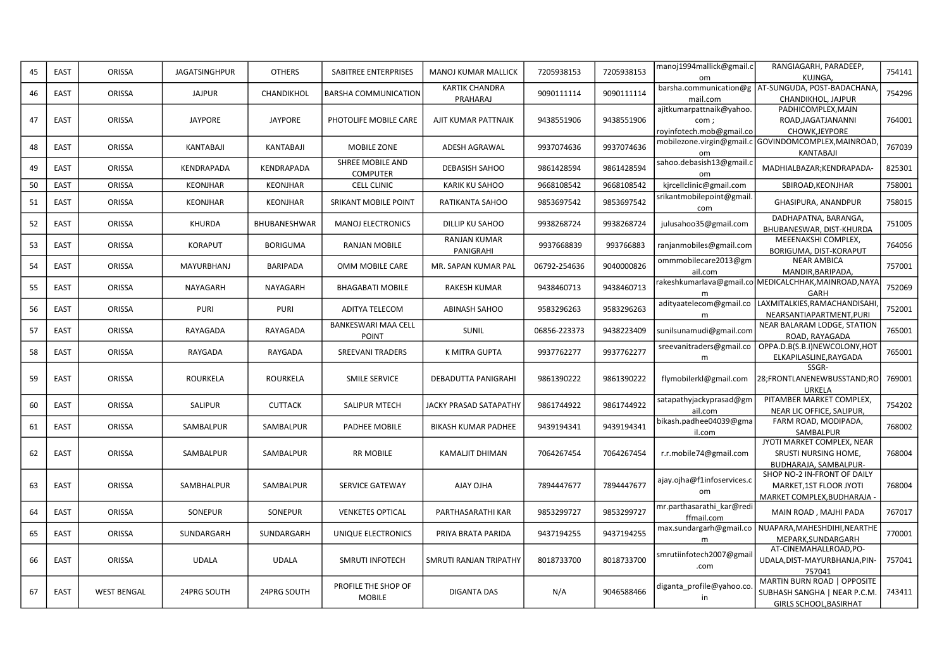| 45 | EAST        | ORISSA             | <b>JAGATSINGHPUR</b> | <b>OTHERS</b>     | <b>SABITREE ENTERPRISES</b>                | MANOJ KUMAR MALLICK               | 7205938153   | 7205938153 | manoj1994mallick@gmail.c<br>om                               | RANGIAGARH, PARADEEP,<br>KUJNGA,                                                             | 754141 |
|----|-------------|--------------------|----------------------|-------------------|--------------------------------------------|-----------------------------------|--------------|------------|--------------------------------------------------------------|----------------------------------------------------------------------------------------------|--------|
| 46 | EAST        | ORISSA             | <b>JAJPUR</b>        | CHANDIKHOL        | <b>BARSHA COMMUNICATION</b>                | <b>KARTIK CHANDRA</b><br>PRAHARAJ | 9090111114   | 9090111114 | mail.com                                                     | barsha.communication@g   AT-SUNGUDA, POST-BADACHANA,<br>CHANDIKHOL, JAJPUR                   | 754296 |
| 47 | EAST        | <b>ORISSA</b>      | <b>JAYPORE</b>       | <b>JAYPORE</b>    | PHOTOLIFE MOBILE CARE                      | AJIT KUMAR PATTNAIK               | 9438551906   | 9438551906 | ajitkumarpattnaik@yahoo.<br>com;<br>royinfotech.mob@gmail.co | PADHICOMPLEX, MAIN<br>ROAD, JAGATJANANNI<br>CHOWK, JEYPORE                                   | 764001 |
| 48 | EAST        | ORISSA             | KANTABAJI            | KANTABAJI         | MOBILE ZONE                                | ADESH AGRAWAL                     | 9937074636   | 9937074636 | om                                                           | mobilezone.virgin@gmail.c GOVINDOMCOMPLEX,MAINROAD,<br>KANTABAJI                             | 767039 |
| 49 | <b>EAST</b> | ORISSA             | <b>KENDRAPADA</b>    | <b>KENDRAPADA</b> | SHREE MOBILE AND<br><b>COMPUTER</b>        | <b>DEBASISH SAHOO</b>             | 9861428594   | 9861428594 | sahoo.debasish13@gmail.c<br><sub>om</sub>                    | MADHIALBAZAR; KENDRAPADA-                                                                    | 825301 |
| 50 | EAST        | ORISSA             | KEONJHAR             | KEONJHAR          | <b>CELL CLINIC</b>                         | KARIK KU SAHOO                    | 9668108542   | 9668108542 | kjrcellclinic@gmail.com                                      | SBIROAD, KEONJHAR                                                                            | 758001 |
| 51 | EAST        | ORISSA             | <b>KEONJHAR</b>      | KEONJHAR          | <b>SRIKANT MOBILE POINT</b>                | RATIKANTA SAHOO                   | 9853697542   | 9853697542 | srikantmobilepoint@gmail.<br>com                             | GHASIPURA, ANANDPUR                                                                          | 758015 |
| 52 | EAST        | ORISSA             | KHURDA               | BHUBANESHWAR      | <b>MANOJ ELECTRONICS</b>                   | DILLIP KU SAHOO                   | 9938268724   | 9938268724 | julusahoo35@gmail.com                                        | DADHAPATNA, BARANGA,<br>BHUBANESWAR, DIST-KHURDA                                             | 751005 |
| 53 | EAST        | ORISSA             | <b>KORAPUT</b>       | <b>BORIGUMA</b>   | RANJAN MOBILE                              | <b>RANJAN KUMAR</b><br>PANIGRAHI  | 9937668839   | 993766883  | ranjanmobiles@gmail.com                                      | MEEENAKSHI COMPLEX,<br>BORIGUMA, DIST-KORAPUT                                                | 764056 |
| 54 | EAST        | ORISSA             | MAYURBHANJ           | <b>BARIPADA</b>   | OMM MOBILE CARE                            | MR. SAPAN KUMAR PAL               | 06792-254636 | 9040000826 | ommmobilecare2013@gm<br>ail.com                              | <b>NEAR AMBICA</b><br>MANDIR, BARIPADA,                                                      | 757001 |
| 55 | EAST        | ORISSA             | NAYAGARH             | NAYAGARH          | <b>BHAGABATI MOBILE</b>                    | RAKESH KUMAR                      | 9438460713   | 9438460713 | m                                                            | rakeshkumarlava@gmail.co MEDICALCHHAK,MAINROAD,NAYA<br><b>GARH</b>                           | 752069 |
| 56 | EAST        | ORISSA             | <b>PURI</b>          | <b>PURI</b>       | <b>ADITYA TELECOM</b>                      | <b>ABINASH SAHOO</b>              | 9583296263   | 9583296263 | adityaatelecom@gmail.co                                      | LAXMITALKIES, RAMACHANDISAHI<br>NEARSANTIAPARTMENT, PURI                                     | 752001 |
| 57 | EAST        | ORISSA             | RAYAGADA             | RAYAGADA          | <b>BANKESWARI MAA CELL</b><br><b>POINT</b> | <b>SUNIL</b>                      | 06856-223373 | 9438223409 | sunilsunamudi@gmail.com                                      | NEAR BALARAM LODGE, STATION<br>ROAD, RAYAGADA                                                | 765001 |
| 58 | EAST        | ORISSA             | RAYGADA              | RAYGADA           | <b>SREEVANI TRADERS</b>                    | K MITRA GUPTA                     | 9937762277   | 9937762277 | sreevanitraders@gmail.co<br>m                                | OPPA.D.B(S.B.I)NEWCOLONY,HOT<br>ELKAPILASLINE, RAYGADA                                       | 765001 |
| 59 | EAST        | ORISSA             | <b>ROURKELA</b>      | ROURKELA          | <b>SMILE SERVICE</b>                       | DEBADUTTA PANIGRAHI               | 9861390222   | 9861390222 | flymobilerkl@gmail.com                                       | SSGR-<br>28;FRONTLANENEWBUSSTAND;RO<br>URKELA                                                | 769001 |
| 60 | EAST        | ORISSA             | SALIPUR              | <b>CUTTACK</b>    | SALIPUR MTECH                              | JACKY PRASAD SATAPATHY            | 9861744922   | 9861744922 | satapathyjackyprasad@gm<br>ail.com                           | PITAMBER MARKET COMPLEX,<br>NEAR LIC OFFICE, SALIPUR,                                        | 754202 |
| 61 | EAST        | ORISSA             | SAMBALPUR            | SAMBALPUR         | PADHEE MOBILE                              | <b>BIKASH KUMAR PADHEE</b>        | 9439194341   | 9439194341 | bikash.padhee04039@gma<br>il.com                             | FARM ROAD, MODIPADA,<br>SAMBALPUR                                                            | 768002 |
| 62 | EAST        | ORISSA             | SAMBALPUR            | SAMBALPUR         | <b>RR MOBILE</b>                           | <b>KAMALJIT DHIMAN</b>            | 7064267454   | 7064267454 | r.r.mobile74@gmail.com                                       | JYOTI MARKET COMPLEX, NEAR<br>SRUSTI NURSING HOME,<br>BUDHARAJA, SAMBALPUR-                  | 768004 |
| 63 | EAST        | ORISSA             | SAMBHALPUR           | SAMBALPUR         | <b>SERVICE GATEWAY</b>                     | AJAY OJHA                         | 7894447677   | 7894447677 | ajay.ojha@f1infoservices.c<br>om                             | SHOP NO-2 IN-FRONT OF DAILY<br>MARKET,1ST FLOOR JYOTI<br>MARKET COMPLEX, BUDHARAJA           | 768004 |
| 64 | EAST        | ORISSA             | SONEPUR              | SONEPUR           | <b>VENKETES OPTICAL</b>                    | PARTHASARATHI KAR                 | 9853299727   | 9853299727 | mr.parthasarathi_kar@redi<br>ffmail.com                      | MAIN ROAD, MAJHI PADA                                                                        | 767017 |
| 65 | EAST        | ORISSA             | SUNDARGARH           | SUNDARGARH        | UNIQUE ELECTRONICS                         | PRIYA BRATA PARIDA                | 9437194255   | 9437194255 | m                                                            | max.sundargarh@gmail.co NUAPARA, MAHESHDIHI, NEARTHE<br>MEPARK, SUNDARGARH                   | 770001 |
| 66 | EAST        | ORISSA             | <b>UDALA</b>         | <b>UDALA</b>      | SMRUTI INFOTECH                            | SMRUTI RANJAN TRIPATHY            | 8018733700   | 8018733700 | smrutiinfotech2007@gmail<br>.com                             | AT-CINEMAHALLROAD, PO-<br>UDALA, DIST-MAYURBHANJA, PIN-<br>757041                            | 757041 |
| 67 | EAST        | <b>WEST BENGAL</b> | 24PRG SOUTH          | 24PRG SOUTH       | PROFILE THE SHOP OF<br><b>MOBILE</b>       | <b>DIGANTA DAS</b>                | N/A          | 9046588466 | diganta_profile@yahoo.co<br>in                               | MARTIN BURN ROAD   OPPOSITE<br>SUBHASH SANGHA   NEAR P.C.M.<br><b>GIRLS SCHOOL, BASIRHAT</b> | 743411 |
|    |             |                    |                      |                   |                                            |                                   |              |            |                                                              |                                                                                              |        |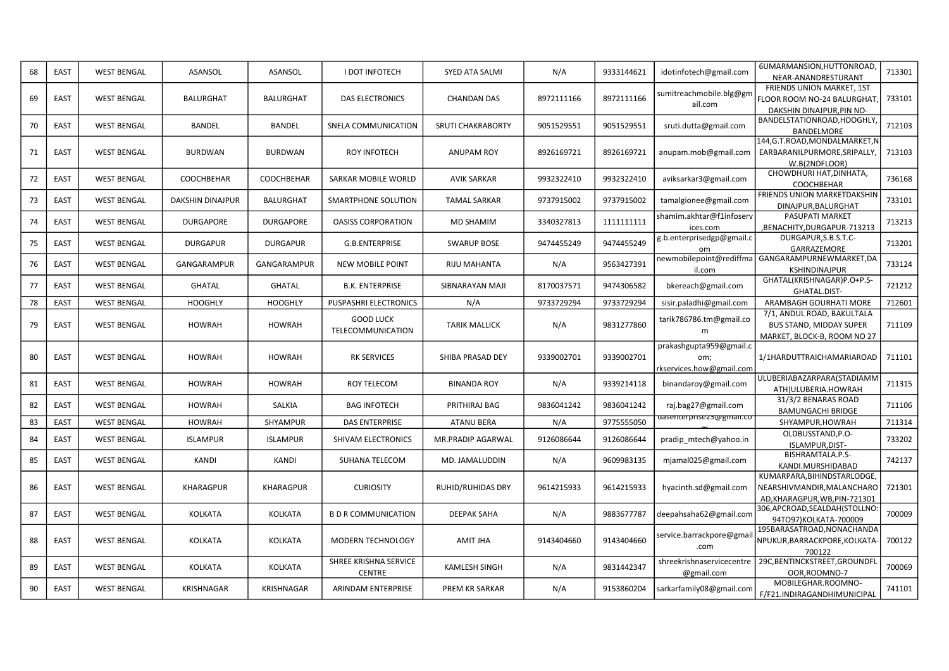| 68 | EAST        | <b>WEST BENGAL</b> | ASANSOL                 | ASANSOL           | <b>I DOT INFOTECH</b>                  | <b>SYED ATA SALMI</b>    | N/A        | 9333144621 | idotinfotech@gmail.com                                     | 6UMARMANSION, HUTTONROAD<br>NEAR-ANANDRESTURANT                                             | 713301 |
|----|-------------|--------------------|-------------------------|-------------------|----------------------------------------|--------------------------|------------|------------|------------------------------------------------------------|---------------------------------------------------------------------------------------------|--------|
| 69 | EAST        | <b>WEST BENGAL</b> | <b>BALURGHAT</b>        | BALURGHAT         | <b>DAS ELECTRONICS</b>                 | <b>CHANDAN DAS</b>       | 8972111166 | 8972111166 | sumitreachmobile.blg@gm<br>ail.com                         | FRIENDS UNION MARKET, 1ST<br>FLOOR ROOM NO-24 BALURGHAT,<br>DAKSHIN DINAJPUR.PIN NO-        | 733101 |
| 70 | EAST        | <b>WEST BENGAL</b> | <b>BANDEL</b>           | <b>BANDEL</b>     | SNELA COMMUNICATION                    | <b>SRUTI CHAKRABORTY</b> | 9051529551 | 9051529551 | sruti.dutta@gmail.com                                      | BANDELSTATIONROAD, HOOGHLY,<br>BANDELMORE                                                   | 712103 |
| 71 | EAST        | <b>WEST BENGAL</b> | <b>BURDWAN</b>          | <b>BURDWAN</b>    | <b>ROY INFOTECH</b>                    | <b>ANUPAM ROY</b>        | 8926169721 | 8926169721 | anupam.mob@gmail.com                                       | 144,G.T.ROAD,MONDALMARKET,N<br>EARBARANILPURMORE, SRIPALLY,<br>W.B(2NDFLOOR)                | 713103 |
| 72 | <b>EAST</b> | <b>WEST BENGAL</b> | COOCHBEHAR              | COOCHBEHAR        | SARKAR MOBILE WORLD                    | <b>AVIK SARKAR</b>       | 9932322410 | 9932322410 | aviksarkar3@gmail.com                                      | CHOWDHURI HAT, DINHATA,<br><b>COOCHBEHAR</b>                                                | 736168 |
| 73 | EAST        | <b>WEST BENGAL</b> | <b>DAKSHIN DINAJPUR</b> | <b>BALURGHAT</b>  | SMARTPHONE SOLUTION                    | <b>TAMAL SARKAR</b>      | 9737915002 | 9737915002 | tamalgionee@gmail.com                                      | FRIENDS UNION MARKETDAKSHIN<br>DINAJPUR, BALURGHAT                                          | 733101 |
| 74 | EAST        | <b>WEST BENGAL</b> | <b>DURGAPORE</b>        | <b>DURGAPORE</b>  | <b>OASISS CORPORATION</b>              | MD SHAMIM                | 3340327813 | 1111111111 | shamim.akhtar@f1infoserv<br>ices.com                       | PASUPATI MARKET<br>,BENACHITY,DURGAPUR-713213                                               | 713213 |
| 75 | EAST        | <b>WEST BENGAL</b> | <b>DURGAPUR</b>         | <b>DURGAPUR</b>   | G.B.ENTERPRISE                         | <b>SWARUP BOSE</b>       | 9474455249 | 9474455249 | g.b.enterprisedgp@gmail.c                                  | DURGAPUR, S.B.S.T.C-<br>GARRAZEMORE                                                         | 713201 |
| 76 | EAST        | <b>WEST BENGAL</b> | GANGARAMPUR             | GANGARAMPUR       | <b>NEW MOBILE POINT</b>                | RIJU MAHANTA             | N/A        | 9563427391 | newmobilepoint@rediffma<br>il.com                          | GANGARAMPURNEWMARKET, DA<br><b>KSHINDINAJPUR</b>                                            | 733124 |
| 77 | EAST        | <b>WEST BENGAL</b> | <b>GHATAL</b>           | <b>GHATAL</b>     | <b>B.K. ENTERPRISE</b>                 | SIBNARAYAN MAJI          | 8170037571 | 9474306582 | bkereach@gmail.com                                         | GHATAL(KRISHNAGAR)P.O+P.S-<br>GHATAL.DIST-                                                  | 721212 |
| 78 | <b>EAST</b> | <b>WEST BENGAL</b> | <b>HOOGHLY</b>          | <b>HOOGHLY</b>    | <b>PUSPASHRI ELECTRONICS</b>           | N/A                      | 9733729294 | 9733729294 | sisir.paladhi@gmail.com                                    | ARAMBAGH GOURHATI MORE                                                                      | 712601 |
| 79 | <b>EAST</b> | <b>WEST BENGAL</b> | <b>HOWRAH</b>           | <b>HOWRAH</b>     | <b>GOOD LUCK</b><br>TELECOMMUNICATION  | <b>TARIK MALLICK</b>     | N/A        | 9831277860 | tarik786786.tm@gmail.co<br>m                               | 7/1, ANDUL ROAD, BAKULTALA<br><b>BUS STAND, MIDDAY SUPER</b><br>MARKET, BLOCK-B, ROOM NO 27 | 711109 |
| 80 | EAST        | <b>WEST BENGAL</b> | <b>HOWRAH</b>           | <b>HOWRAH</b>     | <b>RK SERVICES</b>                     | SHIBA PRASAD DEY         | 9339002701 | 9339002701 | prakashgupta959@gmail.c<br>om;<br>rkservices.how@gmail.com | 1/1HARDUTTRAICHAMARIAROAD                                                                   | 711101 |
| 81 | EAST        | <b>WEST BENGAL</b> | <b>HOWRAH</b>           | <b>HOWRAH</b>     | <b>ROY TELECOM</b>                     | <b>BINANDA ROY</b>       | N/A        | 9339214118 | binandaroy@gmail.com                                       | ULUBERIABAZARPARA(STADIAMM<br>ATH)ULUBERIA.HOWRAH                                           | 711315 |
| 82 | <b>EAST</b> | <b>WEST BENGAL</b> | <b>HOWRAH</b>           | SALKIA            | <b>BAG INFOTECH</b>                    | PRITHIRAJ BAG            | 9836041242 | 9836041242 | raj.bag27@gmail.com                                        | 31/3/2 BENARAS ROAD<br><b>BAMUNGACHI BRIDGE</b>                                             | 711106 |
| 83 | <b>EAST</b> | <b>WEST BENGAL</b> | <b>HOWRAH</b>           | SHYAMPUR          | <b>DAS ENTERPRISE</b>                  | <b>ATANU BERA</b>        | N/A        | 9775555050 | aasenterprisez3@gmaii.co                                   | SHYAMPUR, HOWRAH                                                                            | 711314 |
| 84 | EAST        | <b>WEST BENGAL</b> | <b>ISLAMPUR</b>         | <b>ISLAMPUR</b>   | SHIVAM ELECTRONICS                     | <b>MR.PRADIP AGARWAL</b> | 9126086644 | 9126086644 | pradip_mtech@yahoo.in                                      | OLDBUSSTAND, P.O-<br>ISLAMPUR, DIST-                                                        | 733202 |
| 85 | <b>EAST</b> | <b>WEST BENGAL</b> | KANDI                   | <b>KANDI</b>      | <b>SUHANA TELECOM</b>                  | MD. JAMALUDDIN           | N/A        | 9609983135 | mjamal025@gmail.com                                        | BISHRAMTALA.P.S-<br>KANDI.MURSHIDABAD                                                       | 742137 |
| 86 | <b>EAST</b> | <b>WEST BENGAL</b> | <b>KHARAGPUR</b>        | <b>KHARAGPUR</b>  | <b>CURIOSITY</b>                       | <b>RUHID/RUHIDAS DRY</b> | 9614215933 | 9614215933 | hyacinth.sd@gmail.com                                      | KUMARPARA, BIHINDSTARLODGE,<br>NEARSHIVMANDIR, MALANCHARO<br>AD, KHARAGPUR, WB, PIN-721301  | 721301 |
| 87 | EAST        | <b>WEST BENGAL</b> | <b>KOLKATA</b>          | <b>KOLKATA</b>    | <b>B D R COMMUNICATION</b>             | <b>DEEPAK SAHA</b>       | N/A        | 9883677787 | deepahsaha62@gmail.com                                     | 306, APCROAD, SEALDAH (STOLLNO:<br>94TO97)KOLKATA-700009                                    | 700009 |
| 88 | EAST        | <b>WEST BENGAL</b> | KOLKATA                 | <b>KOLKATA</b>    | MODERN TECHNOLOGY                      | AMIT JHA                 | 9143404660 | 9143404660 | service.barrackpore@gmai<br>.com                           | 195BARASATROAD, NONACHANDA<br>NPUKUR, BARRACKPORE, KOLKATA-<br>700122                       | 700122 |
| 89 | <b>EAST</b> | <b>WEST BENGAL</b> | KOLKATA                 | KOLKATA           | SHREE KRISHNA SERVICE<br><b>CENTRE</b> | <b>KAMLESH SINGH</b>     | N/A        | 9831442347 | shreekrishnaservicecentre<br>@gmail.com                    | 29C, BENTINCKSTREET, GROUNDFL<br>OOR, ROOMNO-7                                              | 700069 |
| 90 | <b>EAST</b> | <b>WEST BENGAL</b> | <b>KRISHNAGAR</b>       | <b>KRISHNAGAR</b> | ARINDAM ENTERPRISE                     | PREM KR SARKAR           | N/A        | 9153860204 | sarkarfamily08@gmail.com                                   | MOBILEGHAR.ROOMNO-<br>F/F21.INDIRAGANDHIMUNICIPAL                                           | 741101 |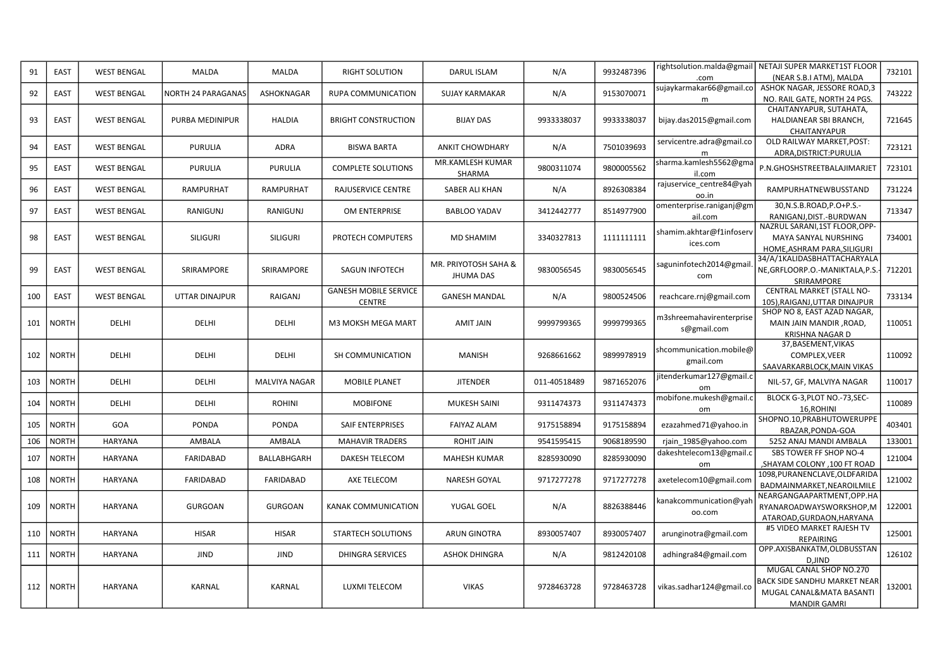| 91  | EAST         | <b>WEST BENGAL</b> | MALDA                 | MALDA            | <b>RIGHT SOLUTION</b>                         | <b>DARUL ISLAM</b>                       | N/A          | 9932487396 | .com                                    | rightsolution.malda@gmail   NETAJI SUPER MARKET1ST FLOOR<br>(NEAR S.B.I ATM), MALDA                        | 732101 |
|-----|--------------|--------------------|-----------------------|------------------|-----------------------------------------------|------------------------------------------|--------------|------------|-----------------------------------------|------------------------------------------------------------------------------------------------------------|--------|
| 92  | EAST         | <b>WEST BENGAL</b> | NORTH 24 PARAGANAS    | ASHOKNAGAR       | <b>RUPA COMMUNICATION</b>                     | <b>SUJAY KARMAKAR</b>                    | N/A          | 9153070071 | sujaykarmakar66@gmail.co<br>m           | ASHOK NAGAR, JESSORE ROAD,3<br>NO. RAIL GATE, NORTH 24 PGS.                                                | 743222 |
| 93  | EAST         | <b>WEST BENGAL</b> | PURBA MEDINIPUR       | HALDIA           | <b>BRIGHT CONSTRUCTION</b>                    | <b>BIJAY DAS</b>                         | 9933338037   | 9933338037 | bijay.das2015@gmail.com                 | CHAITANYAPUR, SUTAHATA,<br>HALDIANEAR SBI BRANCH,<br>CHAITANYAPUR                                          | 721645 |
| 94  | EAST         | <b>WEST BENGAL</b> | <b>PURULIA</b>        | ADRA             | <b>BISWA BARTA</b>                            | <b>ANKIT CHOWDHARY</b>                   | N/A          | 7501039693 | servicentre.adra@gmail.co               | OLD RAILWAY MARKET, POST:<br>ADRA, DISTRICT: PURULIA                                                       | 723121 |
| 95  | EAST         | <b>WEST BENGAL</b> | <b>PURULIA</b>        | PURULIA          | <b>COMPLETE SOLUTIONS</b>                     | MR.KAMLESH KUMAR<br>SHARMA               | 9800311074   | 9800005562 | sharma.kamlesh5562@gma<br>il.com        | P.N.GHOSHSTREETBALAJIMARJET                                                                                | 723101 |
| 96  | EAST         | <b>WEST BENGAL</b> | <b>RAMPURHAT</b>      | <b>RAMPURHAT</b> | RAJUSERVICE CENTRE                            | SABER ALI KHAN                           | N/A          | 8926308384 | rajuservice_centre84@yah<br>oo.in       | RAMPURHATNEWBUSSTAND                                                                                       | 731224 |
| 97  | EAST         | <b>WEST BENGAL</b> | <b>RANIGUNJ</b>       | RANIGUNJ         | OM ENTERPRISE                                 | <b>BABLOO YADAV</b>                      | 3412442777   | 8514977900 | omenterprise.raniganj@gm<br>ail.com     | 30, N.S.B.ROAD, P.O+P.S.-<br>RANIGANJ, DIST.-BURDWAN                                                       | 713347 |
| 98  | EAST         | <b>WEST BENGAL</b> | SILIGURI              | <b>SILIGURI</b>  | PROTECH COMPUTERS                             | MD SHAMIM                                | 3340327813   | 1111111111 | shamim.akhtar@f1infoserv<br>ices.com    | NAZRUL SARANI, 1ST FLOOR, OPP-<br>MAYA SANYAL NURSHING<br>HOME, ASHRAM PARA, SILIGURI                      | 734001 |
| 99  | EAST         | <b>WEST BENGAL</b> | SRIRAMPORE            | SRIRAMPORE       | <b>SAGUN INFOTECH</b>                         | MR. PRIYOTOSH SAHA &<br><b>JHUMA DAS</b> | 9830056545   | 9830056545 | saguninfotech2014@gmai<br>com           | 34/A/1KALIDASBHATTACHARYALA<br>NE, GRFLOORP.O.-MANIKTALA, P.S.-<br>SRIRAMPORE                              | 712201 |
| 100 | EAST         | <b>WEST BENGAL</b> | <b>UTTAR DINAJPUR</b> | RAIGANJ          | <b>GANESH MOBILE SERVICE</b><br><b>CENTRE</b> | <b>GANESH MANDAL</b>                     | N/A          | 9800524506 | reachcare.rnj@gmail.com                 | CENTRAL MARKET (STALL NO-<br>105), RAIGANJ, UTTAR DINAJPUR                                                 | 733134 |
| 101 | <b>NORTH</b> | DELHI              | DELHI                 | DELHI            | M3 MOKSH MEGA MART                            | <b>AMIT JAIN</b>                         | 9999799365   | 9999799365 | m3shreemahavirenterprise<br>s@gmail.com | SHOP NO 8, EAST AZAD NAGAR,<br>MAIN JAIN MANDIR, ROAD,<br><b>KRISHNA NAGAR D</b>                           | 110051 |
| 102 | <b>NORTH</b> | DELHI              | DELHI                 | DELHI            | SH COMMUNICATION                              | <b>MANISH</b>                            | 9268661662   | 9899978919 | shcommunication.mobile@<br>gmail.com    | 37, BASEMENT, VIKAS<br>COMPLEX, VEER<br>SAAVARKARBLOCK, MAIN VIKAS                                         | 110092 |
| 103 | <b>NORTH</b> | DELHI              | DELHI                 | MALVIYA NAGAR    | <b>MOBILE PLANET</b>                          | <b>JITENDER</b>                          | 011-40518489 | 9871652076 | jitenderkumar127@gmail.c<br>om          | NIL-57, GF, MALVIYA NAGAR                                                                                  | 110017 |
| 104 | <b>NORTH</b> | DELHI              | DELHI                 | <b>ROHINI</b>    | <b>MOBIFONE</b>                               | <b>MUKESH SAINI</b>                      | 9311474373   | 9311474373 | mobifone.mukesh@gmail.c<br>om           | BLOCK G-3, PLOT NO.-73, SEC-<br>16, ROHINI                                                                 | 110089 |
| 105 | <b>NORTH</b> | GOA                | <b>PONDA</b>          | <b>PONDA</b>     | <b>SAIF ENTERPRISES</b>                       | <b>FAIYAZ ALAM</b>                       | 9175158894   | 9175158894 | ezazahmed71@yahoo.in                    | SHOPNO.10, PRABHUTOWERUPPE<br>RBAZAR, PONDA-GOA                                                            | 403401 |
| 106 | <b>NORTH</b> | HARYANA            | AMBALA                | AMBALA           | <b>MAHAVIR TRADERS</b>                        | <b>ROHIT JAIN</b>                        | 9541595415   | 9068189590 | rjain_1985@yahoo.com                    | 5252 ANAJ MANDI AMBALA                                                                                     | 133001 |
| 107 | <b>NORTH</b> | HARYANA            | <b>FARIDABAD</b>      | BALLABHGARH      | DAKESH TELECOM                                | <b>MAHESH KUMAR</b>                      | 8285930090   | 8285930090 | dakeshtelecom13@gmail.c<br>om           | SBS TOWER FF SHOP NO-4<br>,SHAYAM COLONY, 100 FT ROAD                                                      | 121004 |
| 108 | <b>NORTH</b> | HARYANA            | <b>FARIDABAD</b>      | FARIDABAD        | AXE TELECOM                                   | NARESH GOYAL                             | 9717277278   | 9717277278 | axetelecom10@gmail.com                  | 1098, PURANENCLAVE, OLDFARIDA<br>BADMAINMARKET, NEAROILMILE                                                | 121002 |
| 109 | <b>NORTH</b> | <b>HARYANA</b>     | <b>GURGOAN</b>        | <b>GURGOAN</b>   | <b>KANAK COMMUNICATION</b>                    | YUGAL GOEL                               | N/A          | 8826388446 | kanakcommunication@yah<br>oo.com        | NEARGANGAAPARTMENT,OPP.HA<br>RYANAROADWAYSWORKSHOP,M<br>ATAROAD, GURDAON, HARYANA                          | 122001 |
| 110 | <b>NORTH</b> | <b>HARYANA</b>     | <b>HISAR</b>          | <b>HISAR</b>     | <b>STARTECH SOLUTIONS</b>                     | <b>ARUN GINOTRA</b>                      | 8930057407   | 8930057407 | arunginotra@gmail.com                   | #5 VIDEO MARKET RAJESH TV<br><b>REPAIRING</b>                                                              | 125001 |
| 111 | <b>NORTH</b> | HARYANA            | <b>JIND</b>           | JIND             | <b>DHINGRA SERVICES</b>                       | <b>ASHOK DHINGRA</b>                     | N/A          | 9812420108 | adhingra84@gmail.com                    | OPP.AXISBANKATM,OLDBUSSTAN<br>D, JIND                                                                      | 126102 |
| 112 | <b>NORTH</b> | <b>HARYANA</b>     | KARNAL                | KARNAL           | <b>LUXMI TELECOM</b>                          | <b>VIKAS</b>                             | 9728463728   | 9728463728 | vikas.sadhar124@gmail.co                | MUGAL CANAL SHOP NO.270<br>BACK SIDE SANDHU MARKET NEAR<br>MUGAL CANAL&MATA BASANTI<br><b>MANDIR GAMRI</b> | 132001 |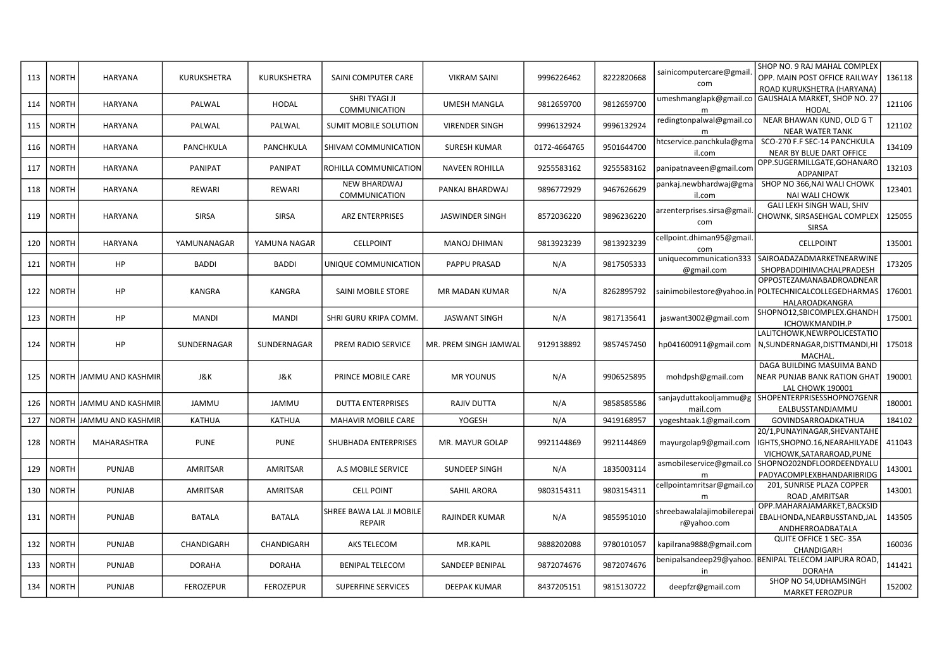| 113 | <b>NORTH</b> | <b>HARYANA</b>           | KURUKSHETRA      | <b>KURUKSHETRA</b> | SAINI COMPUTER CARE                         | <b>VIKRAM SAINI</b>    | 9996226462   | 8222820668 | sainicomputercare@gmail<br>com           | SHOP NO. 9 RAJ MAHAL COMPLEX<br>OPP. MAIN POST OFFICE RAILWAY<br>ROAD KURUKSHETRA (HARYANA)               | 136118 |
|-----|--------------|--------------------------|------------------|--------------------|---------------------------------------------|------------------------|--------------|------------|------------------------------------------|-----------------------------------------------------------------------------------------------------------|--------|
| 114 | <b>NORTH</b> | HARYANA                  | PALWAL           | <b>HODAL</b>       | SHRI TYAGI JI<br>COMMUNICATION              | <b>UMESH MANGLA</b>    | 9812659700   | 9812659700 | umeshmanglapk@gmail.co<br>m              | GAUSHALA MARKET, SHOP NO. 27<br><b>HODAL</b>                                                              | 121106 |
| 115 | <b>NORTH</b> | <b>HARYANA</b>           | PALWAL           | PALWAL             | <b>SUMIT MOBILE SOLUTION</b>                | <b>VIRENDER SINGH</b>  | 9996132924   | 9996132924 | redingtonpalwal@gmail.co                 | NEAR BHAWAN KUND, OLD G T<br><b>NEAR WATER TANK</b>                                                       | 121102 |
| 116 | <b>NORTH</b> | HARYANA                  | PANCHKULA        | PANCHKULA          | SHIVAM COMMUNICATION                        | <b>SURESH KUMAR</b>    | 0172-4664765 | 9501644700 | htcservice.panchkula@gma<br>il.com       | SCO-270 F.F SEC-14 PANCHKULA<br>NEAR BY BLUE DART OFFICE                                                  | 134109 |
| 117 | <b>NORTH</b> | HARYANA                  | <b>PANIPAT</b>   | PANIPAT            | ROHILLA COMMUNICATION                       | <b>NAVEEN ROHILLA</b>  | 9255583162   | 9255583162 | panipatnaveen@gmail.com                  | OPP.SUGERMILLGATE, GOHANARC<br><b>ADPANIPAT</b>                                                           | 132103 |
| 118 | <b>NORTH</b> | HARYANA                  | REWARI           | REWARI             | <b>NEW BHARDWAJ</b><br><b>COMMUNICATION</b> | PANKAJ BHARDWAJ        | 9896772929   | 9467626629 | pankaj.newbhardwaj@gma<br>il.com         | SHOP NO 366, NAI WALI CHOWK<br><b>NAI WALI CHOWK</b>                                                      | 123401 |
| 119 | <b>NORTH</b> | HARYANA                  | <b>SIRSA</b>     | <b>SIRSA</b>       | <b>ARZ ENTERPRISES</b>                      | <b>JASWINDER SINGH</b> | 8572036220   | 9896236220 | arzenterprises.sirsa@gmail<br>com        | GALI LEKH SINGH WALI, SHIV<br>CHOWNK, SIRSASEHGAL COMPLEX<br><b>SIRSA</b>                                 | 125055 |
| 120 | <b>NORTH</b> | HARYANA                  | YAMUNANAGAR      | YAMUNA NAGAR       | <b>CELLPOINT</b>                            | <b>MANOJ DHIMAN</b>    | 9813923239   | 9813923239 | cellpoint.dhiman95@gmail<br>com          | <b>CELLPOINT</b>                                                                                          | 135001 |
| 121 | <b>NORTH</b> | HP                       | <b>BADDI</b>     | <b>BADDI</b>       | UNIQUE COMMUNICATION                        | <b>PAPPU PRASAD</b>    | N/A          | 9817505333 | uniquecommunication333<br>@gmail.com     | SAIROADAZADMARKETNEARWINE<br>SHOPBADDIHIMACHALPRADESH                                                     | 173205 |
| 122 | <b>NORTH</b> | HP                       | KANGRA           | KANGRA             | <b>SAINI MOBILE STORE</b>                   | MR MADAN KUMAR         | N/A          | 8262895792 |                                          | OPPOSTEZAMANABADROADNEAR<br>sainimobilestore@yahoo.in POLTECHNICALCOLLEGEDHARMAS<br><b>HALAROADKANGRA</b> | 176001 |
| 123 | <b>NORTH</b> | HP                       | MANDI            | <b>MANDI</b>       | SHRI GURU KRIPA COMM.                       | <b>JASWANT SINGH</b>   | N/A          | 9817135641 | jaswant3002@gmail.com                    | SHOPNO12,SBICOMPLEX.GHANDH<br>ICHOWKMANDIH.P                                                              | 175001 |
| 124 | <b>NORTH</b> | HP                       | SUNDERNAGAR      | SUNDERNAGAR        | PREM RADIO SERVICE                          | MR. PREM SINGH JAMWAL  | 9129138892   | 9857457450 | hp041600911@gmail.com                    | LALITCHOWK, NEWRPOLICESTATIO<br>N, SUNDERNAGAR, DISTTMANDI, HI<br>MACHAL                                  | 175018 |
| 125 |              | NORTH JJAMMU AND KASHMIR | J&K              | J&K                | PRINCE MOBILE CARE                          | <b>MR YOUNUS</b>       | N/A          | 9906525895 | mohdpsh@gmail.com                        | DAGA BUILDING MASUIMA BAND<br>NEAR PUNJAB BANK RATION GHAT<br><b>LAL CHOWK 190001</b>                     | 190001 |
| 126 |              | NORTH JAMMU AND KASHMIR  | JAMMU            | JAMMU              | <b>DUTTA ENTERPRISES</b>                    | <b>RAJIV DUTTA</b>     | N/A          | 9858585586 | mail.com                                 | sanjayduttakooljammu@g SHOPENTERPRISESSHOPNO7GENR<br>EALBUSSTANDJAMMU                                     | 180001 |
| 127 | <b>NORTH</b> | JAMMU AND KASHMIR        | <b>KATHUA</b>    | <b>KATHUA</b>      | <b>MAHAVIR MOBILE CARE</b>                  | YOGESH                 | N/A          | 9419168957 | yogeshtaak.1@gmail.com                   | GOVINDSARROADKATHUA                                                                                       | 184102 |
| 128 | <b>NORTH</b> | <b>MAHARASHTRA</b>       | <b>PUNE</b>      | <b>PUNE</b>        | SHUBHADA ENTERPRISES                        | MR. MAYUR GOLAP        | 9921144869   | 9921144869 | mayurgolap9@gmail.com                    | 20/1, PUNAYINAGAR, SHEVANTAHE<br>IGHTS, SHOPNO.16, NEARAHILYADE<br>VICHOWK, SATARAROAD, PUNE              | 411043 |
| 129 | <b>NORTH</b> | <b>PUNJAB</b>            | AMRITSAR         | AMRITSAR           | A.S MOBILE SERVICE                          | SUNDEEP SINGH          | N/A          | 1835003114 | asmobileservice@gmail.co<br>m            | SHOPNO202NDFLOORDEENDYALL<br>PADYACOMPLEXBHANDARIBRIDG                                                    | 143001 |
| 130 | <b>NORTH</b> | <b>PUNJAB</b>            | AMRITSAR         | AMRITSAR           | <b>CELL POINT</b>                           | SAHIL ARORA            | 9803154311   | 9803154311 | cellpointamritsar@gmail.co               | 201, SUNRISE PLAZA COPPER<br>ROAD .AMRITSAR                                                               | 143001 |
| 131 | <b>NORTH</b> | <b>PUNJAB</b>            | <b>BATALA</b>    | <b>BATALA</b>      | SHREE BAWA LAL JI MOBILE<br>REPAIR          | <b>RAJINDER KUMAR</b>  | N/A          | 9855951010 | shreebawalalajimobilerepa<br>r@yahoo.com | OPP.MAHARAJAMARKET, BACKSID<br>EBALHONDA, NEARBUSSTAND, JAL<br>ANDHERROADBATALA                           | 143505 |
| 132 | <b>NORTH</b> | <b>PUNJAB</b>            | CHANDIGARH       | CHANDIGARH         | AKS TELECOM                                 | MR.KAPIL               | 9888202088   | 9780101057 | kapilrana9888@gmail.com                  | QUITE OFFICE 1 SEC-35A<br>CHANDIGARH                                                                      | 160036 |
| 133 | <b>NORTH</b> | <b>PUNJAB</b>            | DORAHA           | <b>DORAHA</b>      | <b>BENIPAL TELECOM</b>                      | SANDEEP BENIPAL        | 9872074676   | 9872074676 | benipalsandeep29@yahoo.<br>in.           | BENIPAL TELECOM JAIPURA ROAD<br><b>DORAHA</b>                                                             | 141421 |
| 134 | <b>NORTH</b> | <b>PUNJAB</b>            | <b>FEROZEPUR</b> | <b>FEROZEPUR</b>   | <b>SUPERFINE SERVICES</b>                   | DEEPAK KUMAR           | 8437205151   | 9815130722 | deepfzr@gmail.com                        | SHOP NO 54, UDHAMSINGH<br><b>MARKET FEROZPUR</b>                                                          | 152002 |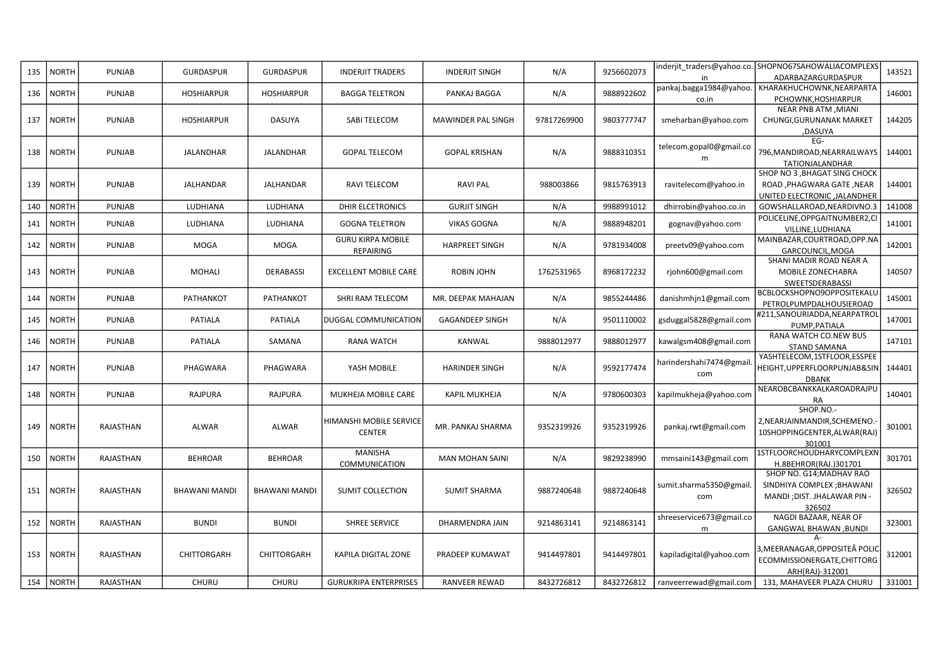| 135 | <b>NORTH</b> | <b>PUNJAB</b>    | <b>GURDASPUR</b>     | <b>GURDASPUR</b>     | <b>INDERJIT TRADERS</b>                  | <b>INDERJIT SINGH</b>  | N/A         | 9256602073 | in                               | inderjit_traders@yahoo.co. SHOPNO67SAHOWALIACOMPLEXS<br>ADARBAZARGURDASPUR                      | 143521 |
|-----|--------------|------------------|----------------------|----------------------|------------------------------------------|------------------------|-------------|------------|----------------------------------|-------------------------------------------------------------------------------------------------|--------|
| 136 | <b>NORTH</b> | <b>PUNJAB</b>    | <b>HOSHIARPUR</b>    | <b>HOSHIARPUR</b>    | <b>BAGGA TELETRON</b>                    | PANKAJ BAGGA           | N/A         | 9888922602 | pankaj.bagga1984@yahoo.<br>co.in | KHARAKHUCHOWNK, NEARPARTA<br>PCHOWNK, HOSHIARPUR                                                | 146001 |
| 137 | <b>NORTH</b> | <b>PUNJAB</b>    | <b>HOSHIARPUR</b>    | DASUYA               | SABI TELECOM                             | MAWINDER PAL SINGH     | 97817269900 | 9803777747 | smeharban@yahoo.com              | NEAR PNB ATM , MIANI<br>CHUNGI, GURUNANAK MARKET<br><b>DASUYA</b>                               | 144205 |
| 138 | <b>NORTH</b> | <b>PUNJAB</b>    | <b>JALANDHAR</b>     | JALANDHAR            | <b>GOPAL TELECOM</b>                     | <b>GOPAL KRISHAN</b>   | N/A         | 9888310351 | telecom.gopal0@gmail.co<br>m     | EG-<br>796, MANDIROAD, NEARRAILWAYS<br>TATIONJALANDHAR                                          | 144001 |
| 139 | <b>NORTH</b> | <b>PUNJAB</b>    | <b>JALHANDAR</b>     | JALHANDAR            | RAVI TELECOM                             | <b>RAVI PAL</b>        | 988003866   | 9815763913 | ravitelecom@yahoo.in             | SHOP NO 3, BHAGAT SING CHOCK<br>ROAD, PHAGWARA GATE, NEAR<br>UNITED ELECTRONIC , JALANDHER      | 144001 |
| 140 | <b>NORTH</b> | <b>PUNJAB</b>    | LUDHIANA             | LUDHIANA             | <b>DHIR ELCETRONICS</b>                  | <b>GURJIT SINGH</b>    | N/A         | 9988991012 | dhirrobin@yahoo.co.in            | GOWSHALLAROAD, NEARDIVNO.3                                                                      | 141008 |
| 141 | <b>NORTH</b> | <b>PUNJAB</b>    | LUDHIANA             | LUDHIANA             | <b>GOGNA TELETRON</b>                    | <b>VIKAS GOGNA</b>     | N/A         | 9888948201 | gognav@yahoo.com                 | POLICELINE, OPPGAITNUMBER2, CI<br>VILLINE, LUDHIANA                                             | 141001 |
| 142 | <b>NORTH</b> | <b>PUNJAB</b>    | <b>MOGA</b>          | <b>MOGA</b>          | <b>GURU KIRPA MOBILE</b><br>REPAIRING    | <b>HARPREET SINGH</b>  | N/A         | 9781934008 | preetv09@yahoo.com               | MAINBAZAR, COURTROAD, OPP.NA<br>GARCOUNCIL, MOGA                                                | 142001 |
| 143 | <b>NORTH</b> | <b>PUNJAB</b>    | MOHALI               | <b>DERABASSI</b>     | <b>EXCELLENT MOBILE CARE</b>             | ROBIN JOHN             | 1762531965  | 8968172232 | rjohn600@gmail.com               | SHANI MADIR ROAD NEAR A<br>MOBILE ZONECHABRA<br><b>SWEETSDERABASSI</b>                          | 140507 |
| 144 | <b>NORTH</b> | <b>PUNJAB</b>    | PATHANKOT            | PATHANKOT            | SHRI RAM TELECOM                         | MR. DEEPAK MAHAJAN     | N/A         | 9855244486 | danishmhjn1@gmail.com            | BCBLOCKSHOPNO9OPPOSITEKALl<br>PETROLPUMPDALHOUSIEROAD                                           | 145001 |
| 145 | <b>NORTH</b> | <b>PUNJAB</b>    | PATIALA              | PATIALA              | DUGGAL COMMUNICATION                     | <b>GAGANDEEP SINGH</b> | N/A         | 9501110002 | gsduggal5828@gmail.com           | #211,SANOURIADDA,NEARPATROL<br>PUMP.PATIALA                                                     | 147001 |
| 146 | <b>NORTH</b> | <b>PUNJAB</b>    | PATIALA              | SAMANA               | <b>RANA WATCH</b>                        | KANWAL                 | 9888012977  | 9888012977 | kawalgsm408@gmail.com            | RANA WATCH CO.NEW BUS<br><b>STAND SAMANA</b>                                                    | 147101 |
| 147 | <b>NORTH</b> | <b>PUNJAB</b>    | PHAGWARA             | PHAGWARA             | YASH MOBILE                              | <b>HARINDER SINGH</b>  | N/A         | 9592177474 | harindershahi 7474@gmail<br>com  | YASHTELECOM,1STFLOOR,ESSPEE<br>HEIGHT, UPPERFLOORPUNJAB&SIN<br><b>DBANK</b>                     | 144401 |
| 148 | <b>NORTH</b> | <b>PUNJAB</b>    | RAJPURA              | RAJPURA              | MUKHEJA MOBILE CARE                      | <b>KAPIL MUKHEJA</b>   | N/A         | 9780600303 | kapilmukheja@yahoo.com           | NEAROBCBANKKALKAROADRAJPU<br>RA                                                                 | 140401 |
| 149 | <b>NORTH</b> | RAJASTHAN        | ALWAR                | ALWAR                | HIMANSHI MOBILE SERVICE<br><b>CENTER</b> | MR. PANKAJ SHARMA      | 9352319926  | 9352319926 | pankaj.rwt@gmail.com             | SHOP.NO.-<br>2, NEARJAINMANDIR, SCHEMENO.<br>10SHOPPINGCENTER, ALWAR(RAJ)<br>301001             | 301001 |
| 150 | <b>NORTH</b> | RAJASTHAN        | <b>BEHROAR</b>       | <b>BEHROAR</b>       | <b>MANISHA</b><br>COMMUNICATION          | <b>MAN MOHAN SAINI</b> | N/A         | 9829238990 | mmsaini143@gmail.com             | 1STFLOORCHOUDHARYCOMPLEXN<br>H.8BEHROR(RAJ.)301701                                              | 301701 |
| 151 | <b>NORTH</b> | <b>RAJASTHAN</b> | <b>BHAWANI MANDI</b> | <b>BHAWANI MANDI</b> | <b>SUMIT COLLECTION</b>                  | <b>SUMIT SHARMA</b>    | 9887240648  | 9887240648 | sumit.sharma5350@gmail<br>com    | SHOP NO. G14; MADHAV RAO<br>SINDHIYA COMPLEX; BHAWANI<br>MANDI ; DIST. JHALAWAR PIN -<br>326502 | 326502 |
| 152 | <b>NORTH</b> | <b>RAJASTHAN</b> | <b>BUNDI</b>         | <b>BUNDI</b>         | <b>SHREE SERVICE</b>                     | DHARMENDRA JAIN        | 9214863141  | 9214863141 | shreeservice673@gmail.co<br>m    | NAGDI BAZAAR, NEAR OF<br><b>GANGWAL BHAWAN, BUNDI</b>                                           | 323001 |
| 153 | <b>NORTH</b> | RAJASTHAN        | CHITTORGARH          | CHITTORGARH          | KAPILA DIGITAL ZONE                      | PRADEEP KUMAWAT        | 9414497801  | 9414497801 | kapiladigital@yahoo.com          | 3,MEERANAGAR,OPPOSITEÂ POLIC<br>ECOMMISSIONERGATE, CHITTORG<br>ARH(RAJ)-312001                  | 312001 |
|     | 154   NORTH  | RAJASTHAN        | <b>CHURU</b>         | <b>CHURU</b>         | <b>GURUKRIPA ENTERPRISES</b>             | <b>RANVEER REWAD</b>   | 8432726812  | 8432726812 | ranveerrewad@gmail.com           | 131, MAHAVEER PLAZA CHURU                                                                       | 331001 |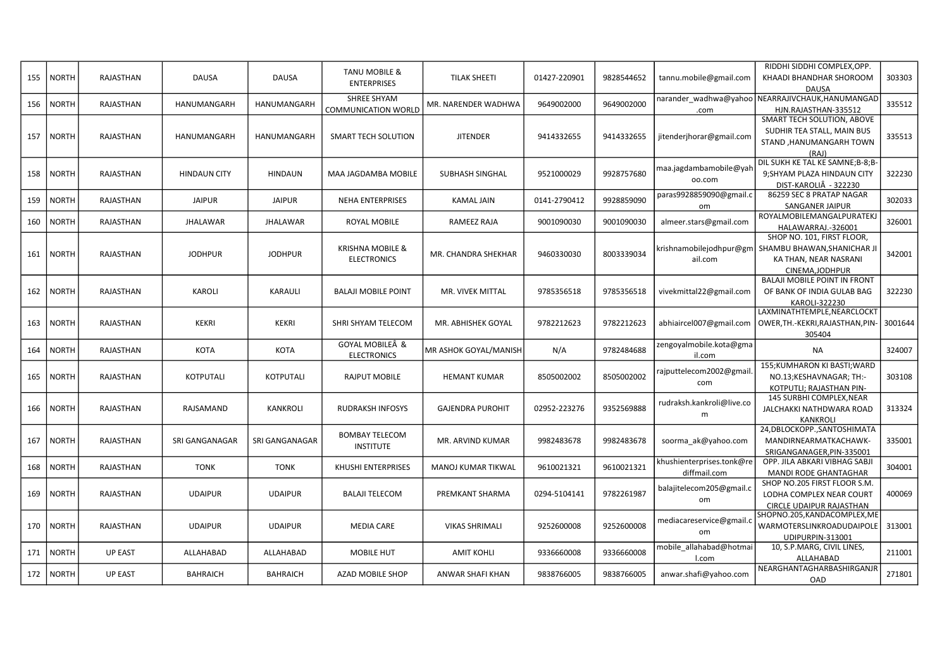|     |              |                  |                     |                  | <b>TANU MOBILE &amp;</b>    |                           |              |            |                           | RIDDHI SIDDHI COMPLEX, OPP.                                   |         |
|-----|--------------|------------------|---------------------|------------------|-----------------------------|---------------------------|--------------|------------|---------------------------|---------------------------------------------------------------|---------|
| 155 | <b>NORTH</b> | <b>RAJASTHAN</b> | <b>DAUSA</b>        | <b>DAUSA</b>     | <b>ENTERPRISES</b>          | <b>TILAK SHEETI</b>       | 01427-220901 | 9828544652 | tannu.mobile@gmail.com    | KHAADI BHANDHAR SHOROOM<br><b>DAUSA</b>                       | 303303  |
| 156 | <b>NORTH</b> | <b>RAJASTHAN</b> | HANUMANGARH         | HANUMANGARH      | SHREE SHYAM                 | MR. NARENDER WADHWA       | 9649002000   | 9649002000 | narander_wadhwa@yahoo     | NEARRAJIVCHAUK, HANUMANGAD                                    | 335512  |
|     |              |                  |                     |                  | <b>COMMUNICATION WORLD</b>  |                           |              |            | .com                      | HJN.RAJASTHAN-335512                                          |         |
|     |              |                  |                     |                  |                             |                           |              |            |                           | SMART TECH SOLUTION, ABOVE                                    |         |
| 157 | <b>NORTH</b> | <b>RAJASTHAN</b> | HANUMANGARH         | HANUMANGARH      | <b>SMART TECH SOLUTION</b>  | <b>JITENDER</b>           | 9414332655   | 9414332655 | jitenderjhorar@gmail.com  | SUDHIR TEA STALL, MAIN BUS                                    | 335513  |
|     |              |                  |                     |                  |                             |                           |              |            |                           | STAND, HANUMANGARH TOWN                                       |         |
|     |              |                  |                     |                  |                             |                           |              |            |                           | (RAJ)                                                         |         |
|     |              |                  |                     |                  |                             |                           |              |            | maa.jagdambamobile@yah    | DIL SUKH KE TAL KE SAMNE;B-8;B-                               |         |
| 158 | <b>NORTH</b> | <b>RAJASTHAN</b> | <b>HINDAUN CITY</b> | <b>HINDAUN</b>   | MAA JAGDAMBA MOBILE         | SUBHASH SINGHAL           | 9521000029   | 9928757680 | oo.com                    | 9; SHYAM PLAZA HINDAUN CITY                                   | 322230  |
|     |              |                  |                     |                  |                             |                           |              |            |                           | DIST-KAROLIÂ - 322230                                         |         |
| 159 | <b>NORTH</b> | <b>RAJASTHAN</b> | <b>JAIPUR</b>       | <b>JAIPUR</b>    | <b>NEHA ENTERPRISES</b>     | <b>KAMAL JAIN</b>         | 0141-2790412 | 9928859090 | paras9928859090@gmail.c   | 86259 SEC 8 PRATAP NAGAR                                      | 302033  |
|     |              |                  |                     |                  |                             |                           |              |            | om                        | <b>SANGANER JAIPUR</b>                                        |         |
| 160 | <b>NORTH</b> | RAJASTHAN        | JHALAWAR            | JHALAWAR         | ROYAL MOBILE                | RAMEEZ RAJA               | 9001090030   | 9001090030 | almeer.stars@gmail.com    | ROYALMOBILEMANGALPURATEKJ                                     | 326001  |
|     |              |                  |                     |                  |                             |                           |              |            |                           | HALAWARRAJ.-326001                                            |         |
|     |              |                  |                     |                  |                             |                           |              |            |                           | SHOP NO. 101, FIRST FLOOR,                                    |         |
| 161 | <b>NORTH</b> | RAJASTHAN        | <b>JODHPUR</b>      | <b>JODHPUR</b>   | <b>KRISHNA MOBILE &amp;</b> | MR. CHANDRA SHEKHAR       | 9460330030   | 8003339034 | krishnamobilejodhpur@gm   | SHAMBU BHAWAN, SHANICHAR JI                                   | 342001  |
|     |              |                  |                     |                  | <b>ELECTRONICS</b>          |                           |              |            | ail.com                   | KA THAN, NEAR NASRANI                                         |         |
|     |              |                  |                     |                  |                             |                           |              |            |                           | CINEMA, JODHPUR                                               |         |
|     |              |                  |                     |                  |                             |                           |              |            |                           | <b>BALAJI MOBILE POINT IN FRONT</b>                           |         |
| 162 | <b>NORTH</b> | RAJASTHAN        | <b>KAROLI</b>       | KARAULI          | <b>BALAJI MOBILE POINT</b>  | MR. VIVEK MITTAL          | 9785356518   | 9785356518 | vivekmittal22@gmail.com   | OF BANK OF INDIA GULAB BAG                                    | 322230  |
|     |              |                  |                     |                  |                             |                           |              |            |                           | KAROLI-322230<br>LAXMINATHTEMPLE, NEARCLOCKT                  |         |
| 163 | <b>NORTH</b> | <b>RAJASTHAN</b> | KEKRI               | <b>KEKRI</b>     | SHRI SHYAM TELECOM          | MR. ABHISHEK GOYAL        | 9782212623   | 9782212623 | abhiaircel007@gmail.com   | OWER, TH. - KEKRI, RAJASTHAN, PIN-                            | 3001644 |
|     |              |                  |                     |                  |                             |                           |              |            |                           | 305404                                                        |         |
|     |              |                  |                     |                  | GOYAL MOBILEÂ &             |                           |              |            | zengoyalmobile.kota@gma   |                                                               |         |
| 164 | <b>NORTH</b> | <b>RAJASTHAN</b> | <b>KOTA</b>         | <b>KOTA</b>      | <b>ELECTRONICS</b>          | MR ASHOK GOYAL/MANISH     | N/A          | 9782484688 | il.com                    | <b>NA</b>                                                     | 324007  |
|     |              |                  |                     |                  |                             |                           |              |            |                           | 155; KUMHARON KI BASTI; WARD                                  |         |
| 165 | <b>NORTH</b> | RAJASTHAN        | <b>KOTPUTALI</b>    | <b>KOTPUTALI</b> | <b>RAJPUT MOBILE</b>        | <b>HEMANT KUMAR</b>       | 8505002002   | 8505002002 | rajputtelecom2002@gmail   | NO.13;KESHAVNAGAR; TH:-                                       | 303108  |
|     |              |                  |                     |                  |                             |                           |              |            | com                       | KOTPUTLI; RAJASTHAN PIN-                                      |         |
|     |              |                  |                     |                  |                             |                           |              |            | rudraksh.kankroli@live.co | 145 SURBHI COMPLEX, NEAR                                      |         |
| 166 | <b>NORTH</b> | RAJASTHAN        | RAJSAMAND           | <b>KANKROLI</b>  | <b>RUDRAKSH INFOSYS</b>     | <b>GAJENDRA PUROHIT</b>   | 02952-223276 | 9352569888 | m                         | JALCHAKKI NATHDWARA ROAD                                      | 313324  |
|     |              |                  |                     |                  |                             |                           |              |            |                           | <b>KANKROLI</b>                                               |         |
|     |              |                  |                     |                  | <b>BOMBAY TELECOM</b>       |                           |              |            |                           | 24, DBLOCKOPP., SANTOSHIMATA                                  |         |
| 167 | <b>NORTH</b> | RAJASTHAN        | SRI GANGANAGAR      | SRI GANGANAGAR   | <b>INSTITUTE</b>            | MR. ARVIND KUMAR          | 9982483678   | 9982483678 | soorma_ak@yahoo.com       | MANDIRNEARMATKACHAWK-                                         | 335001  |
|     |              |                  |                     |                  |                             |                           |              |            |                           | SRIGANGANAGER, PIN-335001                                     |         |
| 168 | <b>NORTH</b> | <b>RAJASTHAN</b> | <b>TONK</b>         | <b>TONK</b>      | KHUSHI ENTERPRISES          | <b>MANOJ KUMAR TIKWAL</b> | 9610021321   | 9610021321 | khushienterprises.tonk@re | OPP. JILA ABKARI VIBHAG SABJI                                 | 304001  |
|     |              |                  |                     |                  |                             |                           |              |            | diffmail.com              | <b>MANDI RODE GHANTAGHAR</b>                                  |         |
|     |              |                  |                     |                  |                             |                           |              | 9782261987 | balajitelecom205@gmail.c  | SHOP NO.205 FIRST FLOOR S.M.<br>LODHA COMPLEX NEAR COURT      | 400069  |
| 169 | <b>NORTH</b> | RAJASTHAN        | <b>UDAIPUR</b>      | <b>UDAIPUR</b>   | <b>BALAJI TELECOM</b>       | PREMKANT SHARMA           | 0294-5104141 |            | om                        |                                                               |         |
|     |              |                  |                     |                  |                             |                           |              |            |                           | <b>CIRCLE UDAIPUR RAJASTHAN</b><br>SHOPNO.205,KANDACOMPLEX,ME |         |
| 170 | <b>NORTH</b> | RAJASTHAN        | <b>UDAIPUR</b>      | <b>UDAIPUR</b>   | <b>MEDIA CARE</b>           | <b>VIKAS SHRIMALI</b>     | 9252600008   | 9252600008 | mediacareservice@gmail.c  | WARMOTERSLINKROADUDAIPOLE                                     | 313001  |
|     |              |                  |                     |                  |                             |                           |              |            | om                        | UDIPURPIN-313001                                              |         |
|     |              |                  |                     |                  |                             |                           |              |            | mobile_allahabad@hotmai   | 10, S.P.MARG, CIVIL LINES,                                    |         |
| 171 | <b>NORTH</b> | <b>UP EAST</b>   | ALLAHABAD           | ALLAHABAD        | <b>MOBILE HUT</b>           | <b>AMIT KOHLI</b>         | 9336660008   | 9336660008 | l.com                     | ALLAHABAD                                                     | 211001  |
|     |              |                  |                     |                  |                             |                           |              |            |                           | NEARGHANTAGHARBASHIRGANJR                                     |         |
| 172 | <b>NORTH</b> | <b>UP EAST</b>   | <b>BAHRAICH</b>     | <b>BAHRAICH</b>  | AZAD MOBILE SHOP            | ANWAR SHAFI KHAN          | 9838766005   | 9838766005 | anwar.shafi@yahoo.com     | OAD                                                           | 271801  |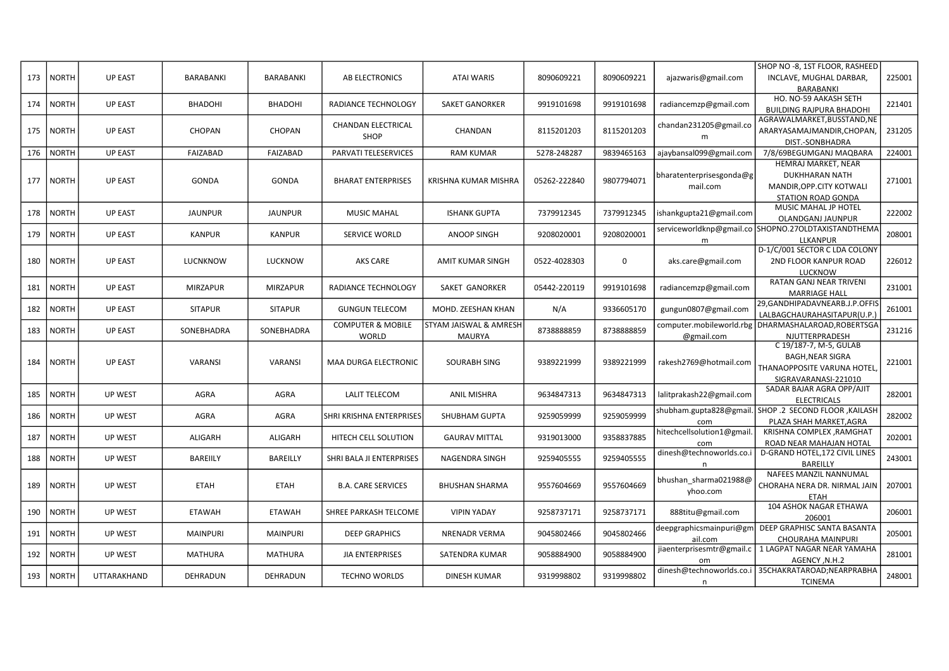|     |              |                |                  |                  |                              |                         |              |            |                           | SHOP NO -8, 1ST FLOOR, RASHEED                      |        |
|-----|--------------|----------------|------------------|------------------|------------------------------|-------------------------|--------------|------------|---------------------------|-----------------------------------------------------|--------|
| 173 | <b>NORTH</b> | <b>UP EAST</b> | <b>BARABANKI</b> | <b>BARABANKI</b> | <b>AB ELECTRONICS</b>        | <b>ATAI WARIS</b>       | 8090609221   | 8090609221 | ajazwaris@gmail.com       | INCLAVE, MUGHAL DARBAR,                             | 225001 |
|     |              |                |                  |                  |                              |                         |              |            |                           | <b>BARABANKI</b>                                    |        |
| 174 | <b>NORTH</b> | <b>UP EAST</b> | <b>BHADOHI</b>   | <b>BHADOHI</b>   | RADIANCE TECHNOLOGY          | <b>SAKET GANORKER</b>   | 9919101698   | 9919101698 |                           | HO. NO-59 AAKASH SETH                               | 221401 |
|     |              |                |                  |                  |                              |                         |              |            | radiancemzp@gmail.com     | <b>BUILDING RAJPURA BHADOHI</b>                     |        |
|     |              |                |                  |                  | <b>CHANDAN ELECTRICAL</b>    |                         |              |            |                           | AGRAWALMARKET,BUSSTAND,NE                           |        |
| 175 | <b>NORTH</b> | <b>UP EAST</b> | <b>CHOPAN</b>    | <b>CHOPAN</b>    |                              | CHANDAN                 | 8115201203   | 8115201203 | chandan231205@gmail.co    | ARARYASAMAJMANDIR, CHOPAN,                          | 231205 |
|     |              |                |                  |                  | SHOP                         |                         |              |            | m                         | DIST.-SONBHADRA                                     |        |
| 176 | <b>NORTH</b> | <b>UP EAST</b> | <b>FAIZABAD</b>  | FAIZABAD         | PARVATI TELESERVICES         | <b>RAM KUMAR</b>        | 5278-248287  | 9839465163 | ajaybansal099@gmail.com   | 7/8/69BEGUMGANJ MAQBARA                             | 224001 |
|     |              |                |                  |                  |                              |                         |              |            |                           | HEMRAJ MARKET, NEAR                                 |        |
|     |              |                |                  |                  |                              |                         |              |            | bharatenterprisesgonda@g  | <b>DUKHHARAN NATH</b>                               |        |
| 177 | <b>NORTH</b> | <b>UP EAST</b> | <b>GONDA</b>     | GONDA            | <b>BHARAT ENTERPRISES</b>    | KRISHNA KUMAR MISHRA    | 05262-222840 | 9807794071 | mail.com                  | MANDIR, OPP. CITY KOTWALI                           | 271001 |
|     |              |                |                  |                  |                              |                         |              |            |                           | <b>STATION ROAD GONDA</b>                           |        |
|     |              |                |                  |                  |                              |                         |              |            |                           | MUSIC MAHAL JP HOTEL                                |        |
| 178 | <b>NORTH</b> | <b>UP EAST</b> | <b>JAUNPUR</b>   | <b>JAUNPUR</b>   | <b>MUSIC MAHAL</b>           | <b>ISHANK GUPTA</b>     | 7379912345   | 7379912345 | ishankgupta21@gmail.com   | <b>OLANDGANJ JAUNPUR</b>                            | 222002 |
|     |              |                |                  |                  |                              |                         |              |            |                           | serviceworldknp@gmail.co SHOPNO.27OLDTAXISTANDTHEMA |        |
| 179 | <b>NORTH</b> | <b>UP EAST</b> | <b>KANPUR</b>    | <b>KANPUR</b>    | <b>SERVICE WORLD</b>         | ANOOP SINGH             | 9208020001   | 9208020001 | m                         | <b>LLKANPUR</b>                                     | 208001 |
|     |              |                |                  |                  |                              |                         |              |            |                           | D-1/C/001 SECTOR C LDA COLONY                       |        |
| 180 | <b>NORTH</b> | <b>UP EAST</b> | LUCNKNOW         | <b>LUCKNOW</b>   | AKS CARE                     | <b>AMIT KUMAR SINGH</b> | 0522-4028303 | 0          | aks.care@gmail.com        | 2ND FLOOR KANPUR ROAD                               | 226012 |
|     |              |                |                  |                  |                              |                         |              |            |                           | <b>LUCKNOW</b>                                      |        |
|     |              |                |                  |                  |                              |                         |              |            |                           | RATAN GANJ NEAR TRIVENI                             |        |
| 181 | <b>NORTH</b> | <b>UP EAST</b> | <b>MIRZAPUR</b>  | <b>MIRZAPUR</b>  | RADIANCE TECHNOLOGY          | SAKET GANORKER          | 05442-220119 | 9919101698 | radiancemzp@gmail.com     | <b>MARRIAGE HALL</b>                                | 231001 |
|     |              |                |                  |                  |                              |                         |              |            |                           | 29, GANDHIPADAVNEARB.J.P.OFFIS                      |        |
| 182 | <b>NORTH</b> | <b>UP EAST</b> | <b>SITAPUR</b>   | <b>SITAPUR</b>   | <b>GUNGUN TELECOM</b>        | MOHD. ZEESHAN KHAN      | N/A          | 9336605170 | gungun0807@gmail.com      | LALBAGCHAURAHASITAPUR(U.P.                          | 261001 |
|     |              |                |                  |                  | <b>COMPUTER &amp; MOBILE</b> | STYAM JAISWAL & AMRESH  |              |            | computer.mobileworld.rbg  | DHARMASHALAROAD, ROBERTSGA                          |        |
| 183 | <b>NORTH</b> | <b>UP EAST</b> | SONEBHADRA       | SONEBHADRA       | <b>WORLD</b>                 | MAURYA                  | 8738888859   | 8738888859 | @gmail.com                | NJUTTERPRADESH                                      | 231216 |
|     |              |                |                  |                  |                              |                         |              |            |                           | C 19/187-7, M-5, GULAB                              |        |
|     |              |                |                  |                  |                              |                         |              |            |                           | <b>BAGH, NEAR SIGRA</b>                             |        |
| 184 | <b>NORTH</b> | <b>UP EAST</b> | <b>VARANSI</b>   | <b>VARANSI</b>   | <b>MAA DURGA ELECTRONIC</b>  | <b>SOURABH SING</b>     | 9389221999   | 9389221999 | rakesh2769@hotmail.com    | THANAOPPOSITE VARUNA HOTEL                          | 221001 |
|     |              |                |                  |                  |                              |                         |              |            |                           | SIGRAVARANASI-221010                                |        |
| 185 | <b>NORTH</b> | UP WEST        | AGRA             |                  | <b>LALIT TELECOM</b>         | ANIL MISHRA             | 9634847313   | 9634847313 |                           | SADAR BAJAR AGRA OPP/AJIT                           | 282001 |
|     |              |                |                  | AGRA             |                              |                         |              |            | lalitprakash22@gmail.com  | <b>ELECTRICALS</b>                                  |        |
|     | <b>NORTH</b> | UP WEST        | AGRA             | AGRA             | SHRI KRISHNA ENTERPRISES     |                         | 9259059999   | 9259059999 | shubham.gupta828@gmail    | SHOP .2 SECOND FLOOR , KAILASH                      | 282002 |
| 186 |              |                |                  |                  |                              | SHUBHAM GUPTA           |              |            | com                       | PLAZA SHAH MARKET, AGRA                             |        |
| 187 | <b>NORTH</b> | UP WEST        | ALIGARH          | ALIGARH          | HITECH CELL SOLUTION         | <b>GAURAV MITTAL</b>    | 9319013000   | 9358837885 | hitechcellsolution1@gmail | KRISHNA COMPLEX, RAMGHAT                            | 202001 |
|     |              |                |                  |                  |                              |                         |              |            | com                       | ROAD NEAR MAHAJAN HOTAL                             |        |
| 188 | <b>NORTH</b> | <b>UP WEST</b> | <b>BAREIILY</b>  | BAREILLY         | SHRI BALA JI ENTERPRISES     | NAGENDRA SINGH          | 9259405555   | 9259405555 | dinesh@technoworlds.co.   | D-GRAND HOTEL, 172 CIVIL LINES                      | 243001 |
|     |              |                |                  |                  |                              |                         |              |            | n                         | BAREILLY                                            |        |
|     |              |                |                  |                  |                              |                         |              |            | bhushan sharma021988@     | NAFEES MANZIL NANNUMAL                              |        |
| 189 | <b>NORTH</b> | UP WEST        | <b>ETAH</b>      | <b>ETAH</b>      | <b>B.A. CARE SERVICES</b>    | <b>BHUSHAN SHARMA</b>   | 9557604669   | 9557604669 | yhoo.com                  | CHORAHA NERA DR. NIRMAL JAIN                        | 207001 |
|     |              |                |                  |                  |                              |                         |              |            |                           | <b>ETAH</b>                                         |        |
| 190 | <b>NORTH</b> | UP WEST        | <b>ETAWAH</b>    | <b>ETAWAH</b>    | SHREE PARKASH TELCOME        | <b>VIPIN YADAY</b>      | 9258737171   | 9258737171 | 888titu@gmail.com         | 104 ASHOK NAGAR ETHAWA                              | 206001 |
|     |              |                |                  |                  |                              |                         |              |            |                           | 206001                                              |        |
| 191 | <b>NORTH</b> | UP WEST        | <b>MAINPURI</b>  | <b>MAINPURI</b>  | <b>DEEP GRAPHICS</b>         | <b>NRENADR VERMA</b>    | 9045802466   | 9045802466 | deepgraphicsmainpuri@gm   | DEEP GRAPHISC SANTA BASANTA                         | 205001 |
|     |              |                |                  |                  |                              |                         |              |            | ail.com                   | <b>CHOURAHA MAINPURI</b>                            |        |
| 192 | <b>NORTH</b> | UP WEST        | <b>MATHURA</b>   | <b>MATHURA</b>   | <b>JIA ENTERPRISES</b>       | SATENDRA KUMAR          | 9058884900   | 9058884900 | jiaenterprisesmtr@gmail.c | 1 LAGPAT NAGAR NEAR YAMAHA                          | 281001 |
|     |              |                |                  |                  |                              |                         |              |            | om                        | AGENCY, N.H.2                                       |        |
| 193 | <b>NORTH</b> | UTTARAKHAND    | DEHRADUN         | DEHRADUN         | <b>TECHNO WORLDS</b>         | <b>DINESH KUMAR</b>     | 9319998802   | 9319998802 | dinesh@technoworlds.co.i  | 35CHAKRATAROAD; NEARPRABHA                          | 248001 |
|     |              |                |                  |                  |                              |                         |              |            | n                         | <b>TCINEMA</b>                                      |        |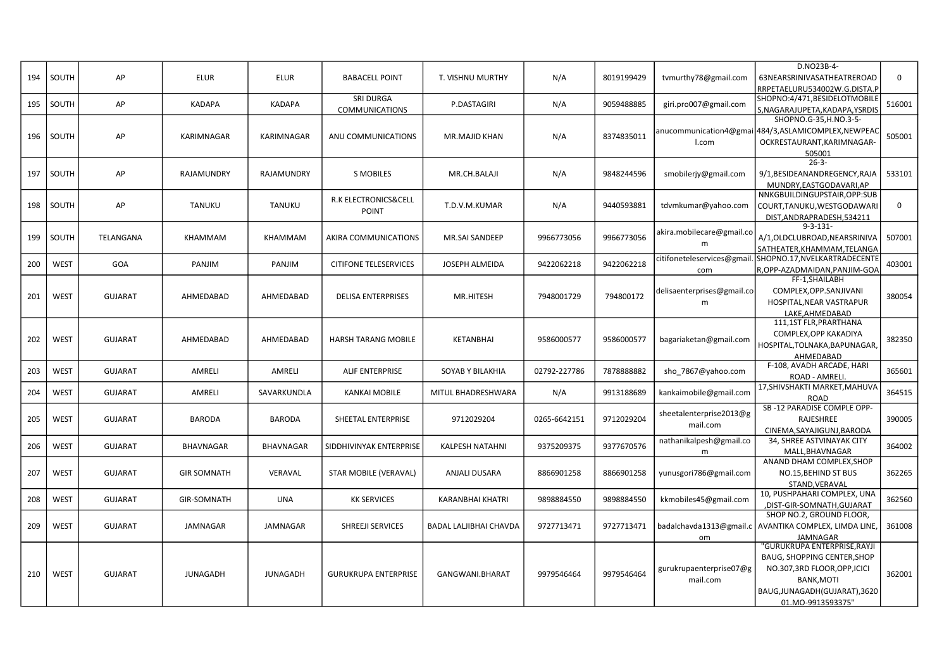|     |             |                |                    |                 |                              |                               |              |            |                             | D.NO23B-4-                                      |             |
|-----|-------------|----------------|--------------------|-----------------|------------------------------|-------------------------------|--------------|------------|-----------------------------|-------------------------------------------------|-------------|
| 194 | SOUTH       | AP             | <b>ELUR</b>        | <b>ELUR</b>     | <b>BABACELL POINT</b>        | T. VISHNU MURTHY              | N/A          | 8019199429 | tvmurthy78@gmail.com        | 63NEARSRINIVASATHEATREROAD                      | $\mathbf 0$ |
|     |             |                |                    |                 |                              |                               |              |            |                             | RRPETAELURU534002W.G.DISTA.P                    |             |
|     |             |                |                    |                 | SRI DURGA                    |                               |              |            |                             | SHOPNO:4/471,BESIDELOTMOBILE                    |             |
| 195 | SOUTH       | AP             | <b>KADAPA</b>      | <b>KADAPA</b>   | <b>COMMUNICATIONS</b>        | P.DASTAGIRI                   | N/A          | 9059488885 | giri.pro007@gmail.com       | S, NAGARAJUPETA, KADAPA, YSRDIS                 | 516001      |
|     |             |                |                    |                 |                              |                               |              |            |                             | SHOPNO.G-35, H.NO.3-5-                          |             |
|     |             |                |                    |                 |                              |                               |              |            | anucommunication4@gmai      | 484/3,ASLAMICOMPLEX,NEWPEAC                     |             |
| 196 | SOUTH       | AP             | KARIMNAGAR         | KARIMNAGAR      | ANU COMMUNICATIONS           | MR.MAJID KHAN                 | N/A          | 8374835011 | I.com                       | OCKRESTAURANT, KARIMNAGAR-                      | 505001      |
|     |             |                |                    |                 |                              |                               |              |            |                             | 505001                                          |             |
|     |             |                |                    |                 |                              |                               |              |            |                             | $26 - 3 -$                                      |             |
| 197 | SOUTH       | AP             | RAJAMUNDRY         | RAJAMUNDRY      | <b>S MOBILES</b>             | MR.CH.BALAJI                  | N/A          | 9848244596 | smobilerjy@gmail.com        | 9/1,BESIDEANANDREGENCY,RAJA                     | 533101      |
|     |             |                |                    |                 |                              |                               |              |            |                             | MUNDRY, EASTGODAVARI, AP                        |             |
|     |             |                |                    |                 |                              |                               |              |            |                             | NNKGBUILDINGUPSTAIR, OPP:SUB                    |             |
| 198 | SOUTH       | AP             | <b>TANUKU</b>      | <b>TANUKU</b>   | R.K ELECTRONICS&CELL         | T.D.V.M.KUMAR                 | N/A          | 9440593881 | tdvmkumar@yahoo.com         | COURT, TANUKU, WESTGODAWARI                     | $\mathbf 0$ |
|     |             |                |                    |                 | <b>POINT</b>                 |                               |              |            |                             | DIST, ANDRAPRADESH, 534211                      |             |
|     |             |                |                    |                 |                              |                               |              |            |                             | $9 - 3 - 131 -$                                 |             |
| 199 | SOUTH       | TELANGANA      | KHAMMAM            | KHAMMAM         | AKIRA COMMUNICATIONS         | MR.SAI SANDEEP                | 9966773056   | 9966773056 | akira.mobilecare@gmail.co   | A/1,OLDCLUBROAD,NEARSRINIVA                     | 507001      |
|     |             |                |                    |                 |                              |                               |              |            | m                           | SATHEATER, KHAMMAM, TELANGA                     |             |
|     |             |                |                    |                 |                              |                               |              |            | citifoneteleservices@gmail. | SHOPNO.17, NVELKARTRADECENTE                    |             |
| 200 | <b>WEST</b> | GOA            | PANJIM             | <b>PANJIM</b>   | <b>CITIFONE TELESERVICES</b> | <b>JOSEPH ALMEIDA</b>         | 9422062218   | 9422062218 | com                         | R, OPP-AZADMAIDAN, PANJIM-GOA                   | 403001      |
|     |             |                |                    |                 |                              |                               |              |            |                             | FF-1, SHAILABH                                  |             |
|     |             |                |                    |                 |                              |                               |              |            | delisaenterprises@gmail.co  | COMPLEX, OPP. SANJIVANI                         |             |
| 201 | <b>WEST</b> | <b>GUJARAT</b> | AHMEDABAD          | AHMEDABAD       | <b>DELISA ENTERPRISES</b>    | MR.HITESH                     | 7948001729   | 794800172  | m                           | HOSPITAL, NEAR VASTRAPUR                        | 380054      |
|     |             |                |                    |                 |                              |                               |              |            |                             |                                                 |             |
|     |             |                |                    |                 |                              |                               |              |            |                             | LAKE.AHMEDABAD<br>111,1ST FLR, PRARTHANA        |             |
|     |             |                |                    |                 |                              |                               |              |            |                             | COMPLEX, OPP KAKADIYA                           |             |
| 202 | <b>WEST</b> | <b>GUJARAT</b> | AHMEDABAD          | AHMEDABAD       | HARSH TARANG MOBILE          | KETANBHAI                     | 9586000577   | 9586000577 | bagariaketan@gmail.com      | HOSPITAL, TOLNAKA, BAPUNAGAR,                   | 382350      |
|     |             |                |                    |                 |                              |                               |              |            |                             |                                                 |             |
|     |             |                |                    |                 |                              |                               |              |            |                             | AHMEDABAD<br>F-108, AVADH ARCADE, HARI          |             |
| 203 | <b>WEST</b> | <b>GUJARAT</b> | AMRELI             | AMRELI          | <b>ALIF ENTERPRISE</b>       | SOYAB Y BILAKHIA              | 02792-227786 | 7878888882 | sho 7867@yahoo.com          | ROAD - AMRELI.                                  | 365601      |
|     |             |                |                    |                 |                              |                               |              |            |                             | 17, SHIVSHAKTI MARKET, MAHUVA                   |             |
| 204 | <b>WEST</b> | <b>GUJARAT</b> | AMRELI             | SAVARKUNDLA     | <b>KANKAI MOBILE</b>         | MITUL BHADRESHWARA            | N/A          | 9913188689 | kankaimobile@gmail.com      | ROAD                                            | 364515      |
|     |             |                |                    |                 |                              |                               |              |            |                             | SB-12 PARADISE COMPLE OPP-                      |             |
| 205 | <b>WEST</b> | <b>GUJARAT</b> | <b>BARODA</b>      | <b>BARODA</b>   | SHEETAL ENTERPRISE           | 9712029204                    | 0265-6642151 | 9712029204 | sheetalenterprise2013@g     | RAJESHREE                                       | 390005      |
|     |             |                |                    |                 |                              |                               |              |            | mail.com                    | CINEMA, SAYAJIGUNJ, BARODA                      |             |
|     |             |                |                    |                 |                              |                               |              |            | nathanikalpesh@gmail.co     | 34, SHREE ASTVINAYAK CITY                       |             |
| 206 | <b>WEST</b> | <b>GUJARAT</b> | BHAVNAGAR          | BHAVNAGAR       | SIDDHIVINYAK ENTERPRISE      | KALPESH NATAHNI               | 9375209375   | 9377670576 | m                           | MALL, BHAVNAGAR                                 | 364002      |
|     |             |                |                    |                 |                              |                               |              |            |                             | ANAND DHAM COMPLEX, SHOP                        |             |
| 207 | <b>WEST</b> | <b>GUJARAT</b> | <b>GIR SOMNATH</b> | VERAVAL         | STAR MOBILE (VERAVAL)        | <b>ANJALI DUSARA</b>          | 8866901258   | 8866901258 | yunusgori786@gmail.com      | NO.15, BEHIND ST BUS                            | 362265      |
|     |             |                |                    |                 |                              |                               |              |            |                             | STAND.VERAVAL                                   |             |
|     |             |                |                    |                 |                              |                               |              |            |                             | 10, PUSHPAHARI COMPLEX, UNA                     |             |
| 208 | <b>WEST</b> | <b>GUJARAT</b> | <b>GIR-SOMNATH</b> | <b>UNA</b>      | <b>KK SERVICES</b>           | <b>KARANBHAI KHATRI</b>       | 9898884550   | 9898884550 | kkmobiles45@gmail.com       | ,DIST-GIR-SOMNATH,GUJARAT                       | 362560      |
|     |             |                |                    |                 |                              |                               |              |            |                             | SHOP NO.2, GROUND FLOOR,                        |             |
| 209 | <b>WEST</b> | <b>GUJARAT</b> | JAMNAGAR           | JAMNAGAR        | SHREEJI SERVICES             | <b>BADAL LALJIBHAI CHAVDA</b> | 9727713471   | 9727713471 | badalchavda1313@gmail.c     | AVANTIKA COMPLEX, LIMDA LINE,                   | 361008      |
|     |             |                |                    |                 |                              |                               |              |            |                             |                                                 |             |
|     |             |                |                    |                 |                              |                               |              |            | om                          | <b>JAMNAGAR</b><br>'GURUKRUPA ENTERPRISE, RAYJI |             |
|     |             |                |                    |                 |                              |                               |              |            |                             | BAUG, SHOPPING CENTER, SHOP                     |             |
|     |             |                |                    |                 |                              |                               |              |            | gurukrupaenterprise07@g     | NO.307,3RD FLOOR, OPP, ICICI                    |             |
| 210 | <b>WEST</b> | <b>GUJARAT</b> | <b>JUNAGADH</b>    | <b>JUNAGADH</b> | <b>GURUKRUPA ENTERPRISE</b>  | GANGWANI.BHARAT               | 9979546464   | 9979546464 |                             |                                                 | 362001      |
|     |             |                |                    |                 |                              |                               |              |            | mail.com                    | <b>BANK, MOTI</b>                               |             |
|     |             |                |                    |                 |                              |                               |              |            |                             | BAUG, JUNAGADH (GUJARAT), 3620                  |             |
|     |             |                |                    |                 |                              |                               |              |            |                             | 01.MO-9913593375"                               |             |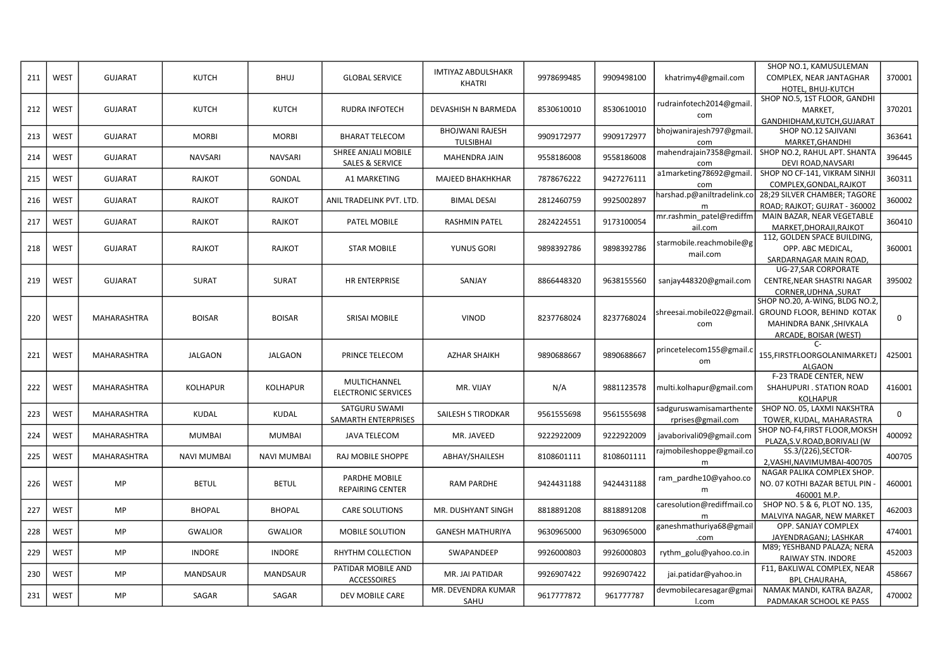| 211 | <b>WEST</b> | <b>GUJARAT</b>     | <b>KUTCH</b>       | <b>BHUJ</b>        | <b>GLOBAL SERVICE</b>      | <b>IMTIYAZ ABDULSHAKR</b> | 9978699485 | 9909498100 | khatrimy4@gmail.com        | SHOP NO.1, KAMUSULEMAN<br>COMPLEX, NEAR JANTAGHAR | 370001      |
|-----|-------------|--------------------|--------------------|--------------------|----------------------------|---------------------------|------------|------------|----------------------------|---------------------------------------------------|-------------|
|     |             |                    |                    |                    |                            | <b>KHATRI</b>             |            |            |                            | HOTEL, BHUJ-KUTCH                                 |             |
|     |             |                    |                    |                    |                            |                           |            |            |                            | SHOP NO.5, 1ST FLOOR, GANDHI                      |             |
| 212 | <b>WEST</b> | <b>GUJARAT</b>     | <b>KUTCH</b>       | <b>KUTCH</b>       | <b>RUDRA INFOTECH</b>      | DEVASHISH N BARMEDA       | 8530610010 | 8530610010 | rudrainfotech2014@gmail    | MARKET,                                           | 370201      |
|     |             |                    |                    |                    |                            |                           |            |            | com                        | GANDHIDHAM, KUTCH, GUJARAT                        |             |
|     |             |                    |                    |                    |                            | <b>BHOJWANI RAJESH</b>    |            |            | bhojwanirajesh797@gmail.   | SHOP NO.12 SAJIVANI                               |             |
| 213 | <b>WEST</b> | <b>GUJARAT</b>     | <b>MORBI</b>       | <b>MORBI</b>       | <b>BHARAT TELECOM</b>      |                           | 9909172977 | 9909172977 |                            |                                                   | 363641      |
|     |             |                    |                    |                    | SHREE ANJALI MOBILE        | <b>TULSIBHAI</b>          |            |            | com                        | MARKET, GHANDHI<br>SHOP NO.2, RAHUL APT. SHANTA   |             |
| 214 | <b>WEST</b> | <b>GUJARAT</b>     | <b>NAVSARI</b>     | <b>NAVSARI</b>     |                            | MAHENDRA JAIN             | 9558186008 | 9558186008 | mahendrajain7358@gmail     |                                                   | 396445      |
|     |             |                    |                    |                    | <b>SALES &amp; SERVICE</b> |                           |            |            | com                        | <b>DEVI ROAD.NAVSARI</b>                          |             |
| 215 | <b>WEST</b> | <b>GUJARAT</b>     | RAJKOT             | GONDAL             | A1 MARKETING               | <b>MAJEED BHAKHKHAR</b>   | 7878676222 | 9427276111 | a1marketing78692@gmail.    | SHOP NO CF-141, VIKRAM SINHJ                      | 360311      |
|     |             |                    |                    |                    |                            |                           |            |            | com                        | COMPLEX, GONDAL, RAJKOT                           |             |
| 216 | <b>WEST</b> | <b>GUJARAT</b>     | RAJKOT             | RAJKOT             | ANIL TRADELINK PVT. LTD.   | <b>BIMAL DESAI</b>        | 2812460759 | 9925002897 | harshad.p@aniltradelink.co | 28;29 SILVER CHAMBER; TAGORE                      | 360002      |
|     |             |                    |                    |                    |                            |                           |            |            | m                          | ROAD; RAJKOT; GUJRAT - 360002                     |             |
| 217 | <b>WEST</b> | <b>GUJARAT</b>     | RAJKOT             | RAJKOT             | PATEL MOBILE               | <b>RASHMIN PATEL</b>      | 2824224551 | 9173100054 | mr.rashmin_patel@rediffm   | MAIN BAZAR, NEAR VEGETABLE                        | 360410      |
|     |             |                    |                    |                    |                            |                           |            |            | ail.com                    | MARKET, DHORAJI, RAJKOT                           |             |
|     |             |                    |                    |                    |                            |                           |            |            | starmobile.reachmobile@g   | 112, GOLDEN SPACE BUILDING,                       |             |
| 218 | <b>WEST</b> | <b>GUJARAT</b>     | RAJKOT             | RAJKOT             | <b>STAR MOBILE</b>         | YUNUS GORI                | 9898392786 | 9898392786 | mail.com                   | OPP. ABC MEDICAL,                                 | 360001      |
|     |             |                    |                    |                    |                            |                           |            |            |                            | SARDARNAGAR MAIN ROAD,                            |             |
|     |             |                    |                    |                    |                            |                           |            |            |                            | UG-27, SAR CORPORATE                              |             |
| 219 | <b>WEST</b> | <b>GUJARAT</b>     | <b>SURAT</b>       | <b>SURAT</b>       | <b>HR ENTERPRISE</b>       | SANJAY                    | 8866448320 | 9638155560 | sanjay448320@gmail.com     | CENTRE, NEAR SHASTRI NAGAR                        | 395002      |
|     |             |                    |                    |                    |                            |                           |            |            |                            | CORNER.UDHNA .SURAT                               |             |
|     |             |                    |                    |                    |                            |                           |            |            |                            | SHOP NO.20, A-WING, BLDG NO.2,                    |             |
|     |             |                    |                    |                    |                            |                           |            |            | shreesai.mobile022@gmail.  | GROUND FLOOR, BEHIND KOTAK                        |             |
| 220 | <b>WEST</b> | MAHARASHTRA        | <b>BOISAR</b>      | <b>BOISAR</b>      | <b>SRISAI MOBILE</b>       | <b>VINOD</b>              | 8237768024 | 8237768024 | com                        | MAHINDRA BANK, SHIVKALA                           | $\mathbf 0$ |
|     |             |                    |                    |                    |                            |                           |            |            |                            | ARCADE, BOISAR (WEST)                             |             |
|     |             |                    |                    |                    |                            |                           |            |            |                            | $\mathsf{C}\mathsf{=}$                            |             |
| 221 | <b>WEST</b> | <b>MAHARASHTRA</b> | <b>JALGAON</b>     | <b>JALGAON</b>     | PRINCE TELECOM             | <b>AZHAR SHAIKH</b>       | 9890688667 | 9890688667 | princetelecom155@gmail.c   | 155, FIRSTFLOORGOLANIMARKETJ                      | 425001      |
|     |             |                    |                    |                    |                            |                           |            |            | om                         | <b>ALGAON</b>                                     |             |
|     |             |                    |                    |                    |                            |                           |            |            |                            | F-23 TRADE CENTER, NEW                            |             |
| 222 | <b>WEST</b> | MAHARASHTRA        | <b>KOLHAPUR</b>    | <b>KOLHAPUR</b>    | MULTICHANNEL               | MR. VIJAY                 | N/A        | 9881123578 | multi.kolhapur@gmail.com   | SHAHUPURI . STATION ROAD                          | 416001      |
|     |             |                    |                    |                    | <b>ELECTRONIC SERVICES</b> |                           |            |            |                            | KOLHAPUR                                          |             |
|     |             |                    |                    |                    | SATGURU SWAMI              |                           |            |            | sadguruswamisamarthente    | SHOP NO. 05, LAXMI NAKSHTRA                       |             |
| 223 | <b>WEST</b> | MAHARASHTRA        | KUDAL              | <b>KUDAL</b>       | SAMARTH ENTERPRISES        | SAILESH S TIRODKAR        | 9561555698 | 9561555698 |                            | TOWER, KUDAL, MAHARASTRA                          | 0           |
|     |             |                    |                    |                    |                            |                           |            |            | rprises@gmail.com          | SHOP NO-F4, FIRST FLOOR, MOKSH                    |             |
| 224 | <b>WEST</b> | <b>MAHARASHTRA</b> | MUMBAI             | <b>MUMBAI</b>      | <b>JAVA TELECOM</b>        | MR. JAVEED                | 9222922009 | 9222922009 | javaborivali09@gmail.com   | PLAZA, S.V. ROAD, BORIVALI (W                     | 400092      |
|     |             |                    |                    |                    |                            |                           |            |            | rajmobileshoppe@gmail.co   | SS.3/(226), SECTOR-                               |             |
| 225 | WEST        | <b>MAHARASHTRA</b> | <b>NAVI MUMBAI</b> | <b>NAVI MUMBAI</b> | RAJ MOBILE SHOPPE          | ABHAY/SHAILESH            | 8108601111 | 8108601111 |                            |                                                   | 400705      |
|     |             |                    |                    |                    |                            |                           |            |            | m                          | 2.VASHI.NAVIMUMBAI-400705                         |             |
|     |             |                    |                    |                    | PARDHE MOBILE              |                           |            |            | ram_pardhe10@yahoo.co      | NAGAR PALIKA COMPLEX SHOP.                        |             |
| 226 | WEST        | <b>MP</b>          | <b>BETUL</b>       | <b>BETUL</b>       | <b>REPAIRING CENTER</b>    | <b>RAM PARDHE</b>         | 9424431188 | 9424431188 | m                          | NO. 07 KOTHI BAZAR BETUL PIN                      | 460001      |
|     |             |                    |                    |                    |                            |                           |            |            |                            | 460001 M.P.                                       |             |
| 227 | WEST        | MP                 | <b>BHOPAL</b>      | <b>BHOPAL</b>      | <b>CARE SOLUTIONS</b>      | MR. DUSHYANT SINGH        | 8818891208 | 8818891208 | caresolution@rediffmail.co | SHOP NO. 5 & 6, PLOT NO. 135,                     | 462003      |
|     |             |                    |                    |                    |                            |                           |            |            |                            | MALVIYA NAGAR, NEW MARKET                         |             |
| 228 | WEST        | MP                 | <b>GWALIOR</b>     | <b>GWALIOR</b>     | MOBILE SOLUTION            | <b>GANESH MATHURIYA</b>   | 9630965000 | 9630965000 | ganeshmathuriya68@gmail    | OPP. SANJAY COMPLEX                               | 474001      |
|     |             |                    |                    |                    |                            |                           |            |            | .com                       | JAYENDRAGANJ; LASHKAR                             |             |
| 229 | <b>WEST</b> | MP                 | <b>INDORE</b>      | <b>INDORE</b>      | RHYTHM COLLECTION          | SWAPANDEEP                | 9926000803 | 9926000803 | rythm_golu@yahoo.co.in     | M89; YESHBAND PALAZA; NERA                        | 452003      |
|     |             |                    |                    |                    |                            |                           |            |            |                            | RAIWAY STN. INDORE                                |             |
| 230 | WEST        | MP                 | <b>MANDSAUR</b>    | <b>MANDSAUR</b>    | PATIDAR MOBILE AND         | MR. JAI PATIDAR           | 9926907422 | 9926907422 | jai.patidar@yahoo.in       | F11, BAKLIWAL COMPLEX, NEAR                       | 458667      |
|     |             |                    |                    |                    | <b>ACCESSOIRES</b>         |                           |            |            |                            | <b>BPL CHAURAHA.</b>                              |             |
| 231 |             | MP                 |                    |                    | DEV MOBILE CARE            | MR. DEVENDRA KUMAR        | 9617777872 | 961777787  | devmobilecaresagar@gmai    | NAMAK MANDI, KATRA BAZAR                          |             |
|     | <b>WEST</b> |                    | SAGAR              | SAGAR              |                            | SAHU                      |            |            | l.com                      | PADMAKAR SCHOOL KE PASS                           | 470002      |
|     |             |                    |                    |                    |                            |                           |            |            |                            |                                                   |             |